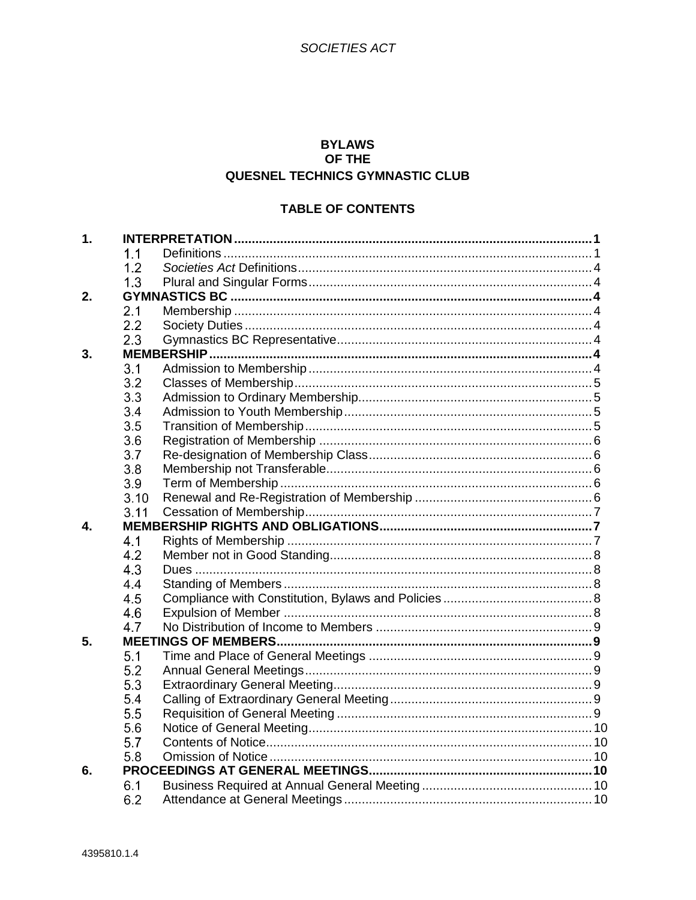# **BYLAWS** OF THE QUESNEL TECHNICS GYMNASTIC CLUB

# **TABLE OF CONTENTS**

| 1. |      |  |
|----|------|--|
|    | 1.1  |  |
|    | 1.2  |  |
|    | 1.3  |  |
| 2. |      |  |
|    | 2.1  |  |
|    | 2.2  |  |
|    | 2.3  |  |
| 3. |      |  |
|    | 3.1  |  |
|    | 3.2  |  |
|    | 3.3  |  |
|    | 3.4  |  |
|    | 3.5  |  |
|    | 3.6  |  |
|    | 3.7  |  |
|    | 3.8  |  |
|    | 3.9  |  |
|    | 3.10 |  |
|    | 3.11 |  |
| 4. |      |  |
|    | 4.1  |  |
|    | 4.2  |  |
|    | 4.3  |  |
|    | 4.4  |  |
|    | 4.5  |  |
|    | 4.6  |  |
|    | 4.7  |  |
| 5. |      |  |
|    | 5.1  |  |
|    | 5.2  |  |
|    | 5.3  |  |
|    | 5.4  |  |
|    | 5.5  |  |
|    | 5.6  |  |
|    | 5.7  |  |
|    | 5.8  |  |
| 6. |      |  |
|    | 6.1  |  |
|    | 6.2  |  |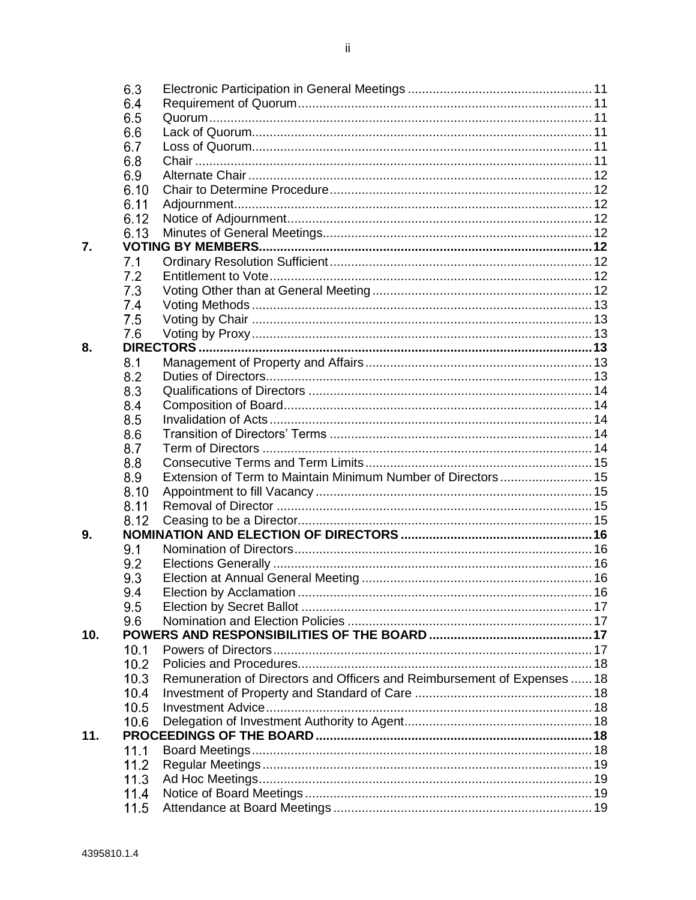|     | 6.3  |                                                                          |  |
|-----|------|--------------------------------------------------------------------------|--|
|     | 6.4  |                                                                          |  |
|     | 6.5  |                                                                          |  |
|     | 6.6  |                                                                          |  |
|     | 6.7  |                                                                          |  |
|     | 6.8  |                                                                          |  |
|     | 6.9  |                                                                          |  |
|     | 6.10 |                                                                          |  |
|     | 6.11 |                                                                          |  |
|     | 6.12 |                                                                          |  |
|     | 6.13 |                                                                          |  |
| 7.  |      |                                                                          |  |
|     | 7.1  |                                                                          |  |
|     | 7.2  |                                                                          |  |
|     | 7.3  |                                                                          |  |
|     | 7.4  |                                                                          |  |
|     | 7.5  |                                                                          |  |
|     | 7.6  |                                                                          |  |
| 8.  |      |                                                                          |  |
|     | 8.1  |                                                                          |  |
|     | 8.2  |                                                                          |  |
|     | 8.3  |                                                                          |  |
|     | 8.4  |                                                                          |  |
|     | 8.5  |                                                                          |  |
|     | 8.6  |                                                                          |  |
|     | 8.7  |                                                                          |  |
|     | 8.8  |                                                                          |  |
|     | 8.9  | Extension of Term to Maintain Minimum Number of Directors 15             |  |
|     | 8.10 |                                                                          |  |
|     | 8.11 |                                                                          |  |
|     | 8.12 |                                                                          |  |
| 9.  |      |                                                                          |  |
|     | 9.1  |                                                                          |  |
|     | 9.2  |                                                                          |  |
|     | 9.3  |                                                                          |  |
|     | 9.4  |                                                                          |  |
|     | 9.5  |                                                                          |  |
|     | 9.6  |                                                                          |  |
| 10. |      |                                                                          |  |
|     | 10.1 |                                                                          |  |
|     | 10.2 |                                                                          |  |
|     | 10.3 | Remuneration of Directors and Officers and Reimbursement of Expenses  18 |  |
|     | 10.4 |                                                                          |  |
|     | 10.5 |                                                                          |  |
|     | 10.6 |                                                                          |  |
| 11. |      |                                                                          |  |
|     | 11.1 |                                                                          |  |
|     | 11.2 |                                                                          |  |
|     | 11.3 |                                                                          |  |
|     | 11.4 |                                                                          |  |
|     |      |                                                                          |  |
|     | 11.5 |                                                                          |  |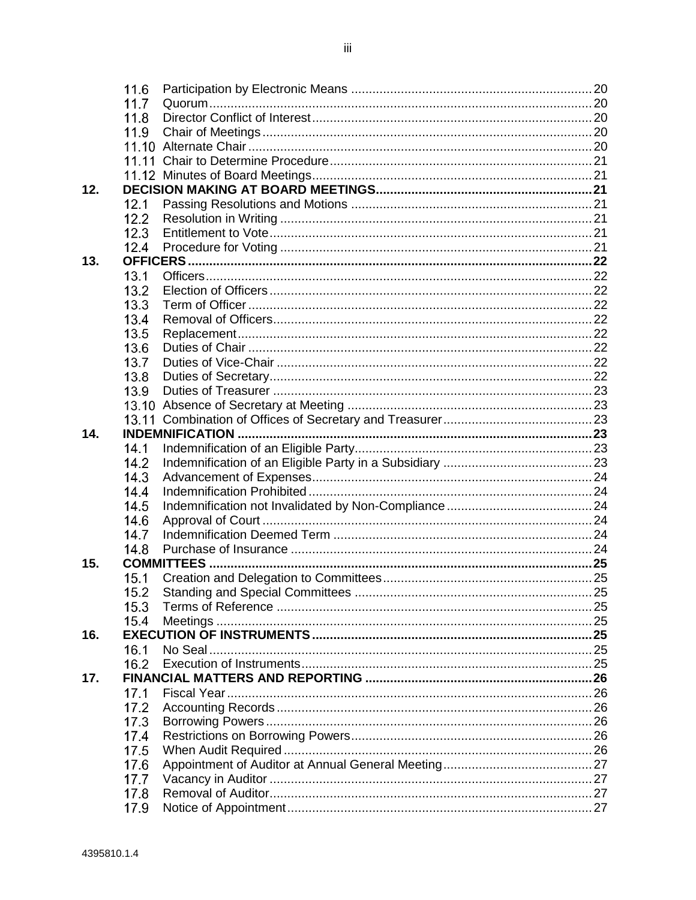|     | 11.6         |                    |  |
|-----|--------------|--------------------|--|
|     | 11.7         |                    |  |
|     | 11.8         |                    |  |
|     | 11.9         |                    |  |
|     |              |                    |  |
|     |              |                    |  |
|     |              |                    |  |
| 12. |              |                    |  |
|     | 12.1         |                    |  |
|     | 12.2         |                    |  |
|     | 12.3         |                    |  |
|     | 12.4         |                    |  |
| 13. |              |                    |  |
|     | 13.1         |                    |  |
|     | 13.2         |                    |  |
|     | 13.3         |                    |  |
|     | 13.4         |                    |  |
|     | 13.5         |                    |  |
|     | 13.6         |                    |  |
|     | 13.7         |                    |  |
|     | 13.8         |                    |  |
|     | 13.9         |                    |  |
|     |              |                    |  |
|     |              |                    |  |
| 14. |              |                    |  |
|     | 14.1         |                    |  |
|     | 14.2         |                    |  |
|     | 14.3         |                    |  |
|     | 14.4         |                    |  |
|     | 14.5         |                    |  |
|     | 14.6         |                    |  |
|     | 14.7         |                    |  |
|     | 14.8         |                    |  |
| 15. |              | <b>COMMITTEES </b> |  |
|     | 15.1         |                    |  |
|     | 15.2         |                    |  |
|     | 15.3         |                    |  |
|     | 15.4         |                    |  |
| 16. |              |                    |  |
|     | 16.1         |                    |  |
|     | 16.2         |                    |  |
| 17. |              |                    |  |
|     | 17.1         |                    |  |
|     | 17.2         |                    |  |
|     |              |                    |  |
|     | 17.3         |                    |  |
|     | 17.4         |                    |  |
|     | 17.5         |                    |  |
|     | 17.6         |                    |  |
|     | 17.7         |                    |  |
|     | 17.8<br>17.9 |                    |  |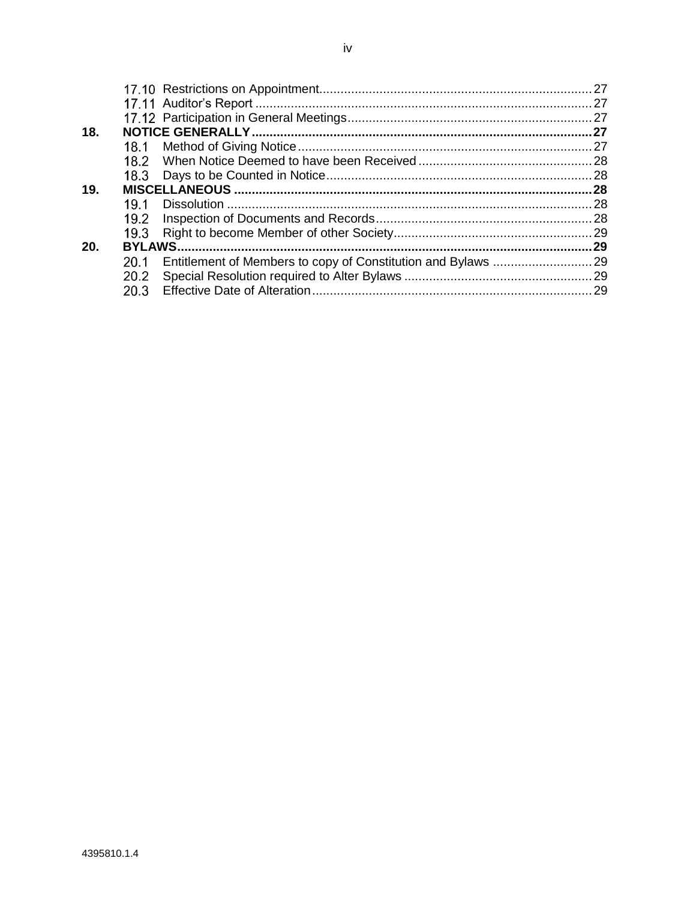|     |               | 27   |
|-----|---------------|------|
|     |               | .27  |
|     |               |      |
| 18. |               | . 27 |
|     |               | . 27 |
|     | 18.2          |      |
|     |               | .28  |
| 19. |               | 28   |
|     | 19.1          | 28   |
|     | 19.2          |      |
|     | 19.3          |      |
| 20. | <b>BYLAWS</b> | 29   |
|     | 20.1          |      |
|     | 20.2          |      |
|     | 20.3          |      |
|     |               |      |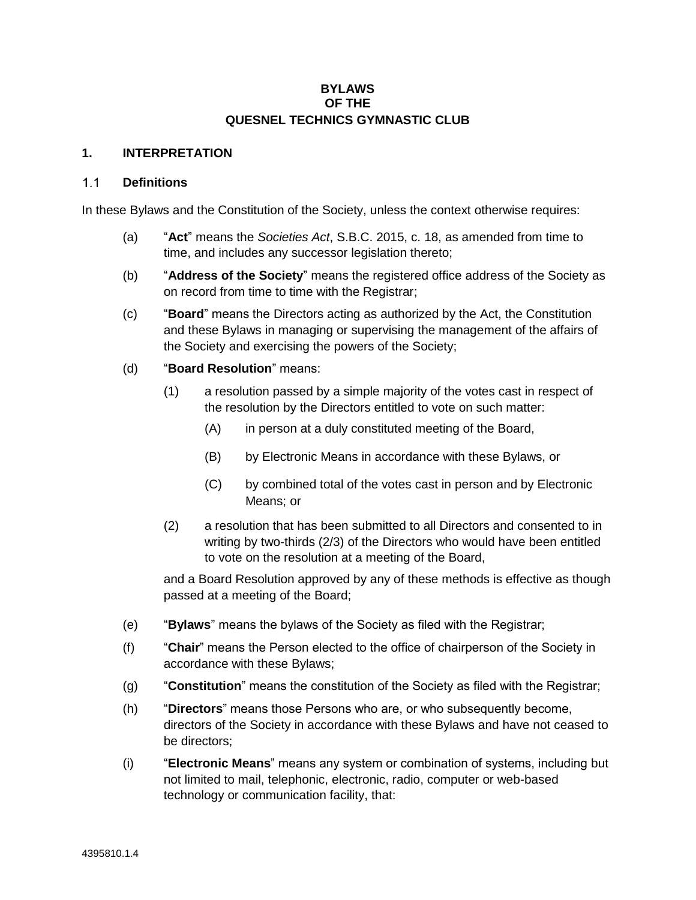### **BYLAWS OF THE QUESNEL TECHNICS GYMNASTIC CLUB**

### **1. INTERPRETATION**

#### **Definitions**  $1.1$

In these Bylaws and the Constitution of the Society, unless the context otherwise requires:

- (a) "**Act**" means the *Societies Act*, S.B.C. 2015, c. 18, as amended from time to time, and includes any successor legislation thereto;
- (b) "**Address of the Society**" means the registered office address of the Society as on record from time to time with the Registrar;
- (c) "**Board**" means the Directors acting as authorized by the Act, the Constitution and these Bylaws in managing or supervising the management of the affairs of the Society and exercising the powers of the Society;
- (d) "**Board Resolution**" means:
	- (1) a resolution passed by a simple majority of the votes cast in respect of the resolution by the Directors entitled to vote on such matter:
		- (A) in person at a duly constituted meeting of the Board,
		- (B) by Electronic Means in accordance with these Bylaws, or
		- (C) by combined total of the votes cast in person and by Electronic Means; or
	- (2) a resolution that has been submitted to all Directors and consented to in writing by two-thirds (2/3) of the Directors who would have been entitled to vote on the resolution at a meeting of the Board,

and a Board Resolution approved by any of these methods is effective as though passed at a meeting of the Board;

- (e) "**Bylaws**" means the bylaws of the Society as filed with the Registrar;
- (f) "**Chair**" means the Person elected to the office of chairperson of the Society in accordance with these Bylaws;
- (g) "**Constitution**" means the constitution of the Society as filed with the Registrar;
- (h) "**Directors**" means those Persons who are, or who subsequently become, directors of the Society in accordance with these Bylaws and have not ceased to be directors;
- (i) "**Electronic Means**" means any system or combination of systems, including but not limited to mail, telephonic, electronic, radio, computer or web-based technology or communication facility, that: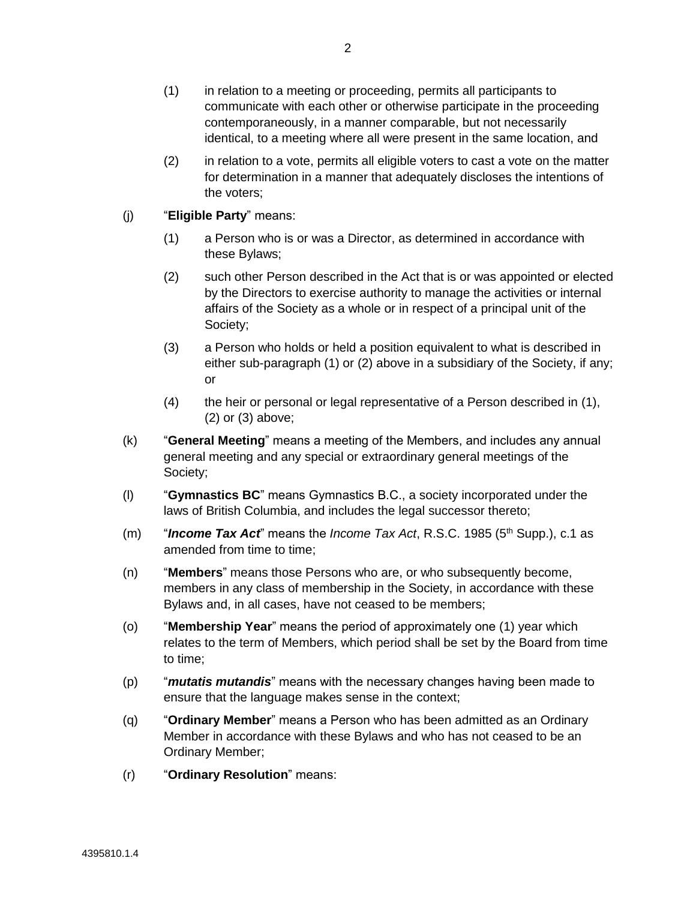- (1) in relation to a meeting or proceeding, permits all participants to communicate with each other or otherwise participate in the proceeding contemporaneously, in a manner comparable, but not necessarily identical, to a meeting where all were present in the same location, and
- (2) in relation to a vote, permits all eligible voters to cast a vote on the matter for determination in a manner that adequately discloses the intentions of the voters;
- <span id="page-5-1"></span><span id="page-5-0"></span>(j) "**Eligible Party**" means:
	- (1) a Person who is or was a Director, as determined in accordance with these Bylaws;
	- (2) such other Person described in the Act that is or was appointed or elected by the Directors to exercise authority to manage the activities or internal affairs of the Society as a whole or in respect of a principal unit of the Society;
	- (3) a Person who holds or held a position equivalent to what is described in either sub-paragraph [\(1\)](#page-5-0) or [\(2\)](#page-5-1) above in a subsidiary of the Society, if any; or
	- (4) the heir or personal or legal representative of a Person described in [\(1\),](#page-5-0) [\(2\)](#page-5-1) or [\(3\)](#page-5-2) above;
- <span id="page-5-2"></span>(k) "**General Meeting**" means a meeting of the Members, and includes any annual general meeting and any special or extraordinary general meetings of the Society;
- (l) "**Gymnastics BC**" means Gymnastics B.C., a society incorporated under the laws of British Columbia, and includes the legal successor thereto;
- (m) "**Income Tax Act**" means the *Income Tax Act*, R.S.C. 1985 (5<sup>th</sup> Supp.), c.1 as amended from time to time:
- (n) "**Members**" means those Persons who are, or who subsequently become, members in any class of membership in the Society, in accordance with these Bylaws and, in all cases, have not ceased to be members;
- (o) "**Membership Year**" means the period of approximately one (1) year which relates to the term of Members, which period shall be set by the Board from time to time;
- (p) "*mutatis mutandis*" means with the necessary changes having been made to ensure that the language makes sense in the context;
- (q) "**Ordinary Member**" means a Person who has been admitted as an Ordinary Member in accordance with these Bylaws and who has not ceased to be an Ordinary Member;
- (r) "**Ordinary Resolution**" means: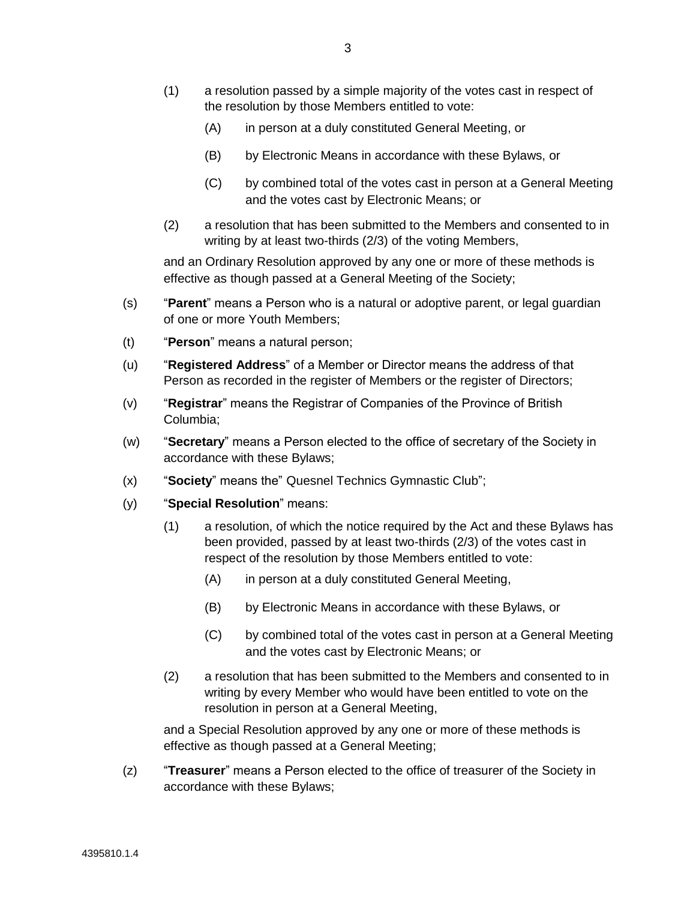- (1) a resolution passed by a simple majority of the votes cast in respect of the resolution by those Members entitled to vote:
	- (A) in person at a duly constituted General Meeting, or
	- (B) by Electronic Means in accordance with these Bylaws, or
	- (C) by combined total of the votes cast in person at a General Meeting and the votes cast by Electronic Means; or
- (2) a resolution that has been submitted to the Members and consented to in writing by at least two-thirds (2/3) of the voting Members,

and an Ordinary Resolution approved by any one or more of these methods is effective as though passed at a General Meeting of the Society;

- (s) "**Parent**" means a Person who is a natural or adoptive parent, or legal guardian of one or more Youth Members;
- (t) "**Person**" means a natural person;
- (u) "**Registered Address**" of a Member or Director means the address of that Person as recorded in the register of Members or the register of Directors;
- (v) "**Registrar**" means the Registrar of Companies of the Province of British Columbia;
- (w) "**Secretary**" means a Person elected to the office of secretary of the Society in accordance with these Bylaws;
- (x) "**Society**" means the" Quesnel Technics Gymnastic Club";
- (y) "**Special Resolution**" means:
	- (1) a resolution, of which the notice required by the Act and these Bylaws has been provided, passed by at least two-thirds (2/3) of the votes cast in respect of the resolution by those Members entitled to vote:
		- (A) in person at a duly constituted General Meeting,
		- (B) by Electronic Means in accordance with these Bylaws, or
		- (C) by combined total of the votes cast in person at a General Meeting and the votes cast by Electronic Means; or
	- (2) a resolution that has been submitted to the Members and consented to in writing by every Member who would have been entitled to vote on the resolution in person at a General Meeting,

and a Special Resolution approved by any one or more of these methods is effective as though passed at a General Meeting;

(z) "**Treasurer**" means a Person elected to the office of treasurer of the Society in accordance with these Bylaws;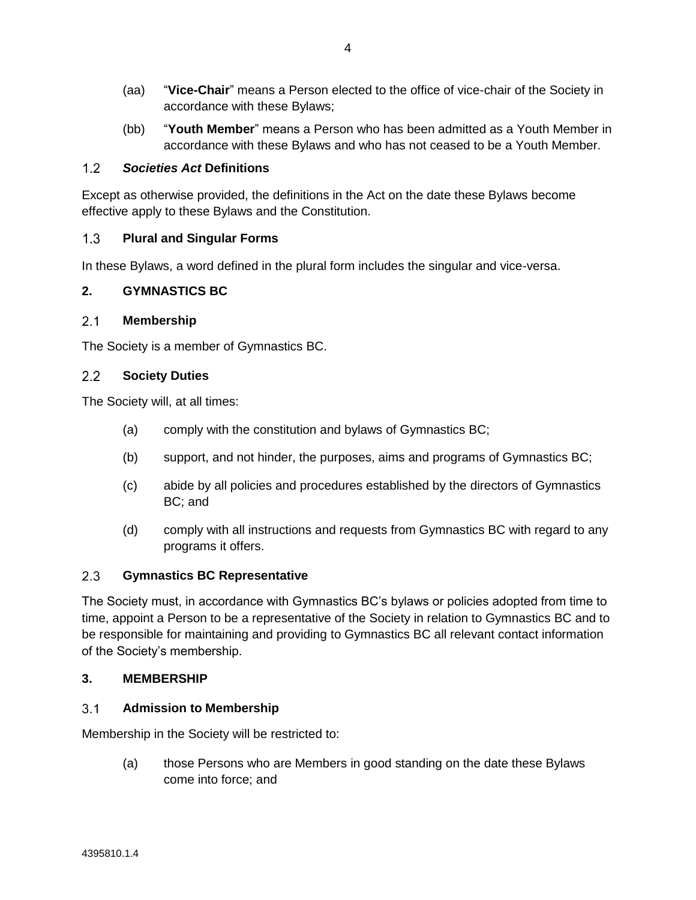- (aa) "**Vice-Chair**" means a Person elected to the office of vice-chair of the Society in accordance with these Bylaws;
- (bb) "**Youth Member**" means a Person who has been admitted as a Youth Member in accordance with these Bylaws and who has not ceased to be a Youth Member.

### $1.2<sub>2</sub>$ *Societies Act* **Definitions**

Except as otherwise provided, the definitions in the Act on the date these Bylaws become effective apply to these Bylaws and the Constitution.

### $1.3$ **Plural and Singular Forms**

In these Bylaws, a word defined in the plural form includes the singular and vice-versa.

# **2. GYMNASTICS BC**

### $2.1$ **Membership**

The Society is a member of Gymnastics BC.

### $2.2$ **Society Duties**

The Society will, at all times:

- (a) comply with the constitution and bylaws of Gymnastics BC;
- (b) support, and not hinder, the purposes, aims and programs of Gymnastics BC;
- (c) abide by all policies and procedures established by the directors of Gymnastics BC; and
- (d) comply with all instructions and requests from Gymnastics BC with regard to any programs it offers.

### $2.3$ **Gymnastics BC Representative**

The Society must, in accordance with Gymnastics BC's bylaws or policies adopted from time to time, appoint a Person to be a representative of the Society in relation to Gymnastics BC and to be responsible for maintaining and providing to Gymnastics BC all relevant contact information of the Society's membership.

# **3. MEMBERSHIP**

### $3.1$ **Admission to Membership**

Membership in the Society will be restricted to:

(a) those Persons who are Members in good standing on the date these Bylaws come into force; and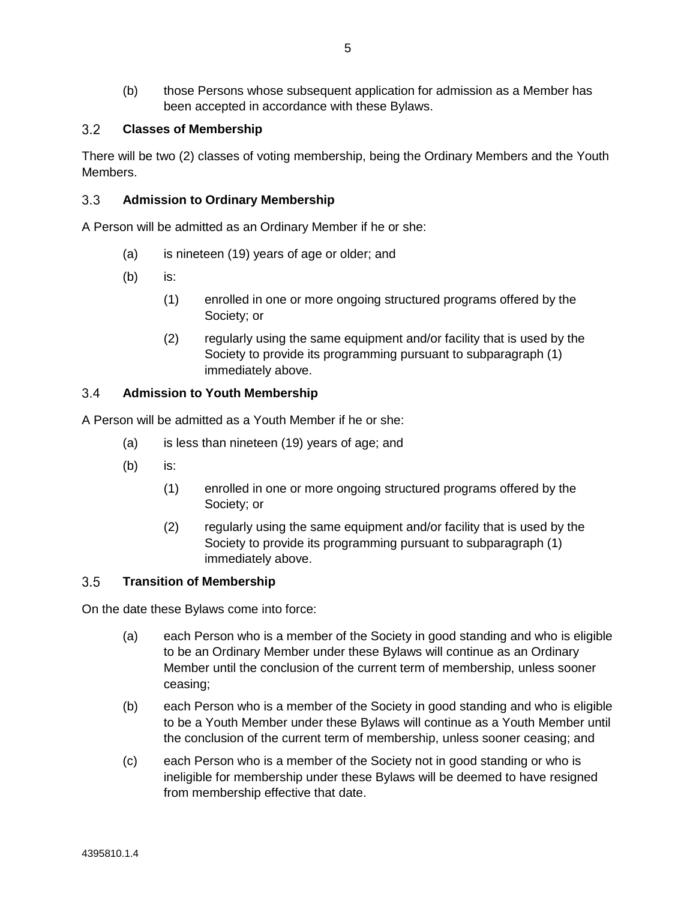(b) those Persons whose subsequent application for admission as a Member has been accepted in accordance with these Bylaws.

### $3.2$ **Classes of Membership**

There will be two (2) classes of voting membership, being the Ordinary Members and the Youth Members.

### $3.3$ **Admission to Ordinary Membership**

A Person will be admitted as an Ordinary Member if he or she:

- (a) is nineteen (19) years of age or older; and
- (b) is:
	- (1) enrolled in one or more ongoing structured programs offered by the Society; or
	- (2) regularly using the same equipment and/or facility that is used by the Society to provide its programming pursuant to subparagraph (1) immediately above.

### $3.4$ **Admission to Youth Membership**

A Person will be admitted as a Youth Member if he or she:

- (a) is less than nineteen (19) years of age; and
- (b) is:
	- (1) enrolled in one or more ongoing structured programs offered by the Society; or
	- (2) regularly using the same equipment and/or facility that is used by the Society to provide its programming pursuant to subparagraph (1) immediately above.

### $3.5$ **Transition of Membership**

On the date these Bylaws come into force:

- (a) each Person who is a member of the Society in good standing and who is eligible to be an Ordinary Member under these Bylaws will continue as an Ordinary Member until the conclusion of the current term of membership, unless sooner ceasing;
- (b) each Person who is a member of the Society in good standing and who is eligible to be a Youth Member under these Bylaws will continue as a Youth Member until the conclusion of the current term of membership, unless sooner ceasing; and
- (c) each Person who is a member of the Society not in good standing or who is ineligible for membership under these Bylaws will be deemed to have resigned from membership effective that date.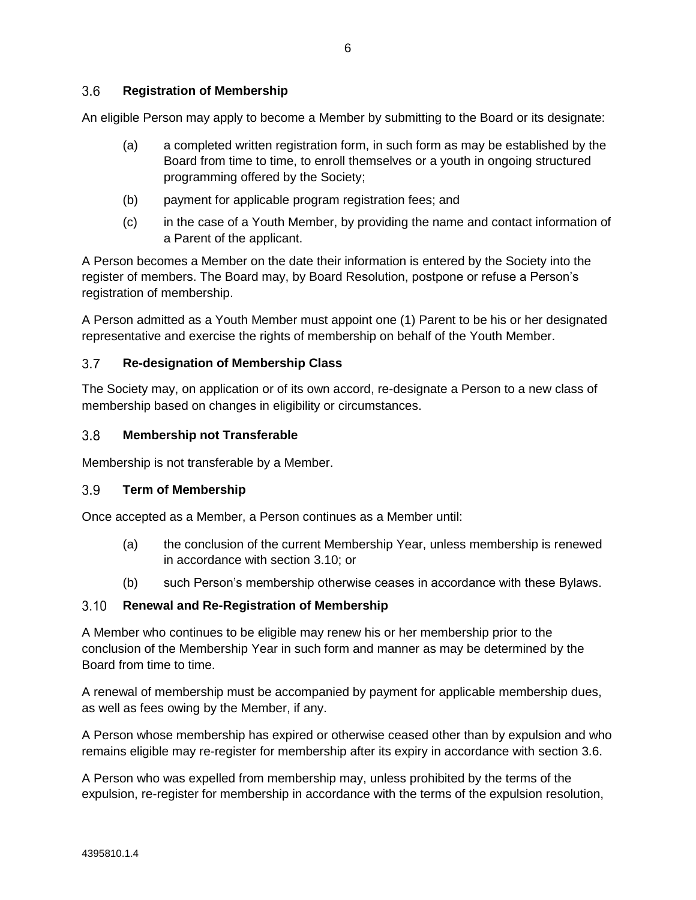### <span id="page-9-1"></span> $3.6$ **Registration of Membership**

An eligible Person may apply to become a Member by submitting to the Board or its designate:

- (a) a completed written registration form, in such form as may be established by the Board from time to time, to enroll themselves or a youth in ongoing structured programming offered by the Society;
- (b) payment for applicable program registration fees; and
- (c) in the case of a Youth Member, by providing the name and contact information of a Parent of the applicant.

A Person becomes a Member on the date their information is entered by the Society into the register of members. The Board may, by Board Resolution, postpone or refuse a Person's registration of membership.

A Person admitted as a Youth Member must appoint one (1) Parent to be his or her designated representative and exercise the rights of membership on behalf of the Youth Member.

### $3.7$ **Re-designation of Membership Class**

The Society may, on application or of its own accord, re-designate a Person to a new class of membership based on changes in eligibility or circumstances.

### $3.8$ **Membership not Transferable**

Membership is not transferable by a Member.

#### $3.9<sup>°</sup>$ **Term of Membership**

Once accepted as a Member, a Person continues as a Member until:

- (a) the conclusion of the current Membership Year, unless membership is renewed in accordance with section [3.10;](#page-9-0) or
- (b) such Person's membership otherwise ceases in accordance with these Bylaws.

#### <span id="page-9-0"></span> $3.10$ **Renewal and Re-Registration of Membership**

A Member who continues to be eligible may renew his or her membership prior to the conclusion of the Membership Year in such form and manner as may be determined by the Board from time to time.

A renewal of membership must be accompanied by payment for applicable membership dues, as well as fees owing by the Member, if any.

A Person whose membership has expired or otherwise ceased other than by expulsion and who remains eligible may re-register for membership after its expiry in accordance with section [3.6.](#page-9-1)

A Person who was expelled from membership may, unless prohibited by the terms of the expulsion, re-register for membership in accordance with the terms of the expulsion resolution,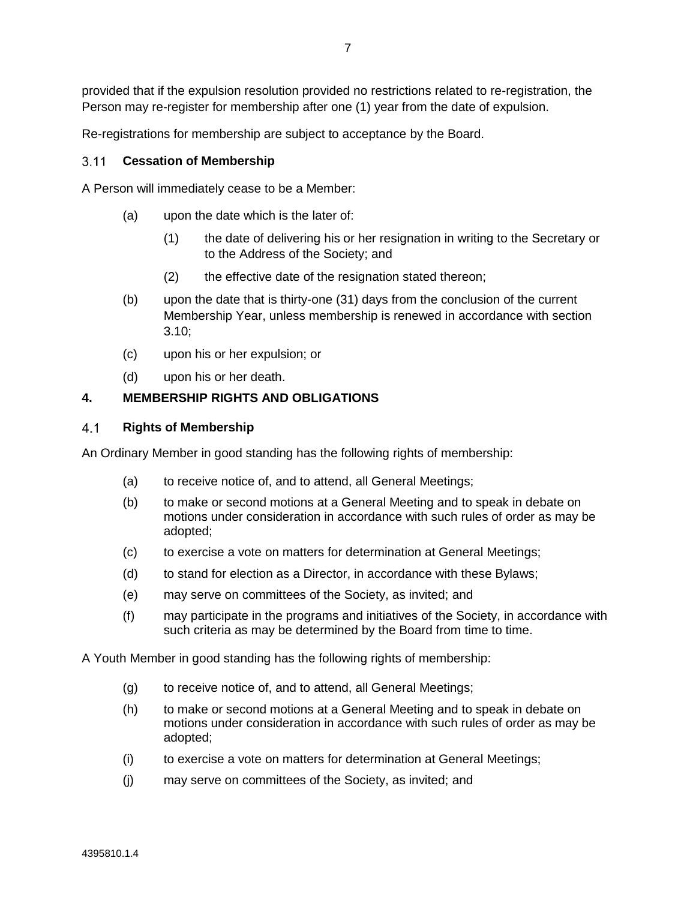provided that if the expulsion resolution provided no restrictions related to re-registration, the Person may re-register for membership after one (1) year from the date of expulsion.

Re-registrations for membership are subject to acceptance by the Board.

### **Cessation of Membership**

A Person will immediately cease to be a Member:

- (a) upon the date which is the later of:
	- (1) the date of delivering his or her resignation in writing to the Secretary or to the Address of the Society; and
	- (2) the effective date of the resignation stated thereon;
- (b) upon the date that is thirty-one (31) days from the conclusion of the current Membership Year, unless membership is renewed in accordance with section [3.10;](#page-9-0)
- (c) upon his or her expulsion; or
- (d) upon his or her death.

### **4. MEMBERSHIP RIGHTS AND OBLIGATIONS**

#### <span id="page-10-0"></span> $4.1$ **Rights of Membership**

An Ordinary Member in good standing has the following rights of membership:

- (a) to receive notice of, and to attend, all General Meetings;
- (b) to make or second motions at a General Meeting and to speak in debate on motions under consideration in accordance with such rules of order as may be adopted;
- (c) to exercise a vote on matters for determination at General Meetings;
- (d) to stand for election as a Director, in accordance with these Bylaws;
- (e) may serve on committees of the Society, as invited; and
- (f) may participate in the programs and initiatives of the Society, in accordance with such criteria as may be determined by the Board from time to time.

A Youth Member in good standing has the following rights of membership:

- (g) to receive notice of, and to attend, all General Meetings;
- (h) to make or second motions at a General Meeting and to speak in debate on motions under consideration in accordance with such rules of order as may be adopted;
- (i) to exercise a vote on matters for determination at General Meetings;
- (j) may serve on committees of the Society, as invited; and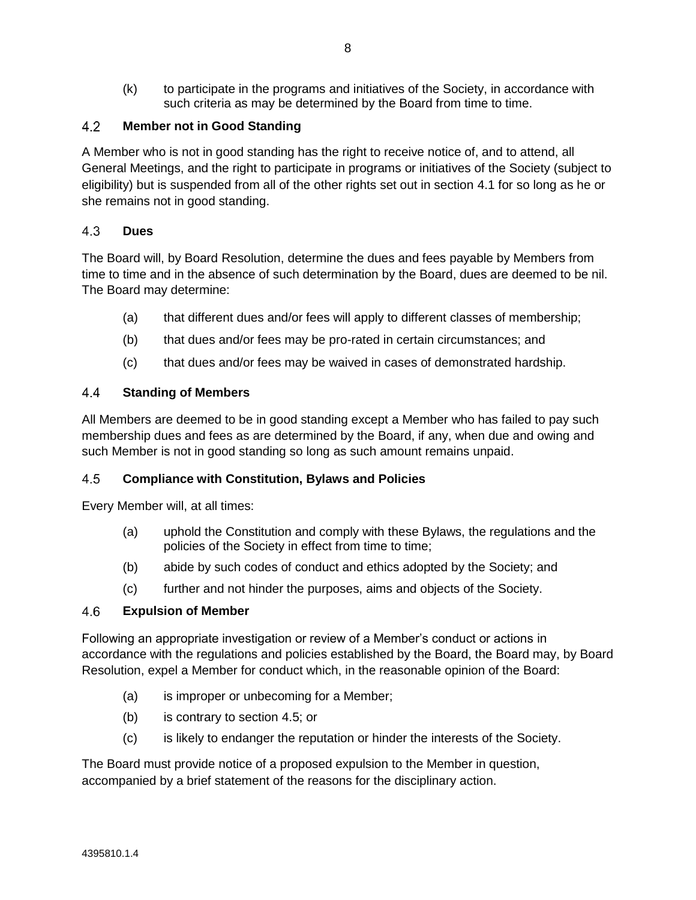(k) to participate in the programs and initiatives of the Society, in accordance with such criteria as may be determined by the Board from time to time.

### $4.2$ **Member not in Good Standing**

A Member who is not in good standing has the right to receive notice of, and to attend, all General Meetings, and the right to participate in programs or initiatives of the Society (subject to eligibility) but is suspended from all of the other rights set out in section [4.1](#page-10-0) for so long as he or she remains not in good standing.

### 4.3 **Dues**

The Board will, by Board Resolution, determine the dues and fees payable by Members from time to time and in the absence of such determination by the Board, dues are deemed to be nil. The Board may determine:

- (a) that different dues and/or fees will apply to different classes of membership;
- (b) that dues and/or fees may be pro-rated in certain circumstances; and
- (c) that dues and/or fees may be waived in cases of demonstrated hardship.

### $4.4$ **Standing of Members**

All Members are deemed to be in good standing except a Member who has failed to pay such membership dues and fees as are determined by the Board, if any, when due and owing and such Member is not in good standing so long as such amount remains unpaid.

### <span id="page-11-0"></span>4.5 **Compliance with Constitution, Bylaws and Policies**

Every Member will, at all times:

- (a) uphold the Constitution and comply with these Bylaws, the regulations and the policies of the Society in effect from time to time;
- (b) abide by such codes of conduct and ethics adopted by the Society; and
- (c) further and not hinder the purposes, aims and objects of the Society.

### 4.6 **Expulsion of Member**

Following an appropriate investigation or review of a Member's conduct or actions in accordance with the regulations and policies established by the Board, the Board may, by Board Resolution, expel a Member for conduct which, in the reasonable opinion of the Board:

- (a) is improper or unbecoming for a Member;
- (b) is contrary to section [4.5;](#page-11-0) or
- (c) is likely to endanger the reputation or hinder the interests of the Society.

The Board must provide notice of a proposed expulsion to the Member in question, accompanied by a brief statement of the reasons for the disciplinary action.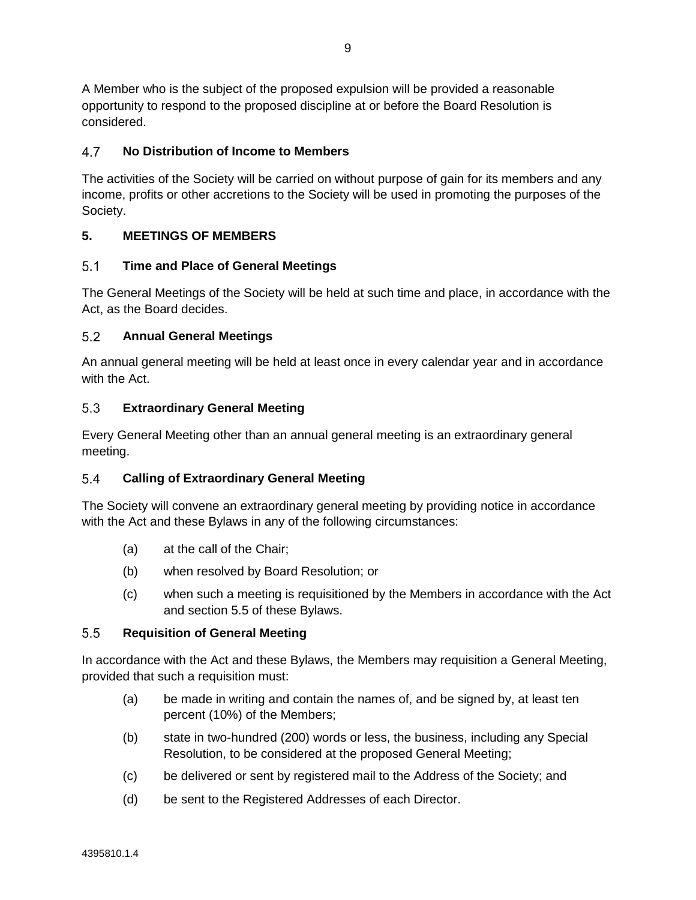A Member who is the subject of the proposed expulsion will be provided a reasonable opportunity to respond to the proposed discipline at or before the Board Resolution is considered.

### **No Distribution of Income to Members** 4.7

The activities of the Society will be carried on without purpose of gain for its members and any income, profits or other accretions to the Society will be used in promoting the purposes of the Society.

# **5. MEETINGS OF MEMBERS**

### $5.1$ **Time and Place of General Meetings**

The General Meetings of the Society will be held at such time and place, in accordance with the Act, as the Board decides.

### $5.2$ **Annual General Meetings**

An annual general meeting will be held at least once in every calendar year and in accordance with the Act.

### $5.3$ **Extraordinary General Meeting**

Every General Meeting other than an annual general meeting is an extraordinary general meeting.

### $5.4$ **Calling of Extraordinary General Meeting**

The Society will convene an extraordinary general meeting by providing notice in accordance with the Act and these Bylaws in any of the following circumstances:

- (a) at the call of the Chair;
- (b) when resolved by Board Resolution; or
- (c) when such a meeting is requisitioned by the Members in accordance with the Act and section [5.5](#page-12-0) of these Bylaws.

### <span id="page-12-0"></span> $5.5$ **Requisition of General Meeting**

In accordance with the Act and these Bylaws, the Members may requisition a General Meeting, provided that such a requisition must:

- (a) be made in writing and contain the names of, and be signed by, at least ten percent (10%) of the Members;
- (b) state in two-hundred (200) words or less, the business, including any Special Resolution, to be considered at the proposed General Meeting;
- (c) be delivered or sent by registered mail to the Address of the Society; and
- (d) be sent to the Registered Addresses of each Director.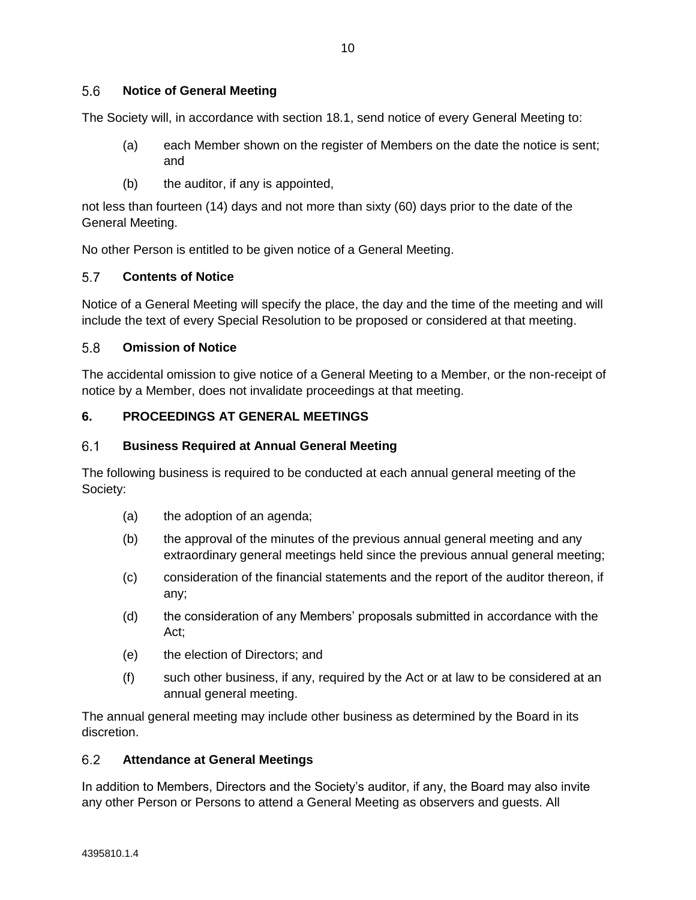The Society will, in accordance with section [18.1,](#page-30-0) send notice of every General Meeting to:

- (a) each Member shown on the register of Members on the date the notice is sent; and
- (b) the auditor, if any is appointed,

not less than fourteen (14) days and not more than sixty (60) days prior to the date of the General Meeting.

No other Person is entitled to be given notice of a General Meeting.

### $5.7$ **Contents of Notice**

Notice of a General Meeting will specify the place, the day and the time of the meeting and will include the text of every Special Resolution to be proposed or considered at that meeting.

### 5.8 **Omission of Notice**

The accidental omission to give notice of a General Meeting to a Member, or the non-receipt of notice by a Member, does not invalidate proceedings at that meeting.

# **6. PROCEEDINGS AT GENERAL MEETINGS**

### $6.1$ **Business Required at Annual General Meeting**

The following business is required to be conducted at each annual general meeting of the Society:

- (a) the adoption of an agenda;
- (b) the approval of the minutes of the previous annual general meeting and any extraordinary general meetings held since the previous annual general meeting;
- (c) consideration of the financial statements and the report of the auditor thereon, if any;
- (d) the consideration of any Members' proposals submitted in accordance with the Act;
- (e) the election of Directors; and
- (f) such other business, if any, required by the Act or at law to be considered at an annual general meeting.

The annual general meeting may include other business as determined by the Board in its discretion.

#### $6.2$ **Attendance at General Meetings**

In addition to Members, Directors and the Society's auditor, if any, the Board may also invite any other Person or Persons to attend a General Meeting as observers and guests. All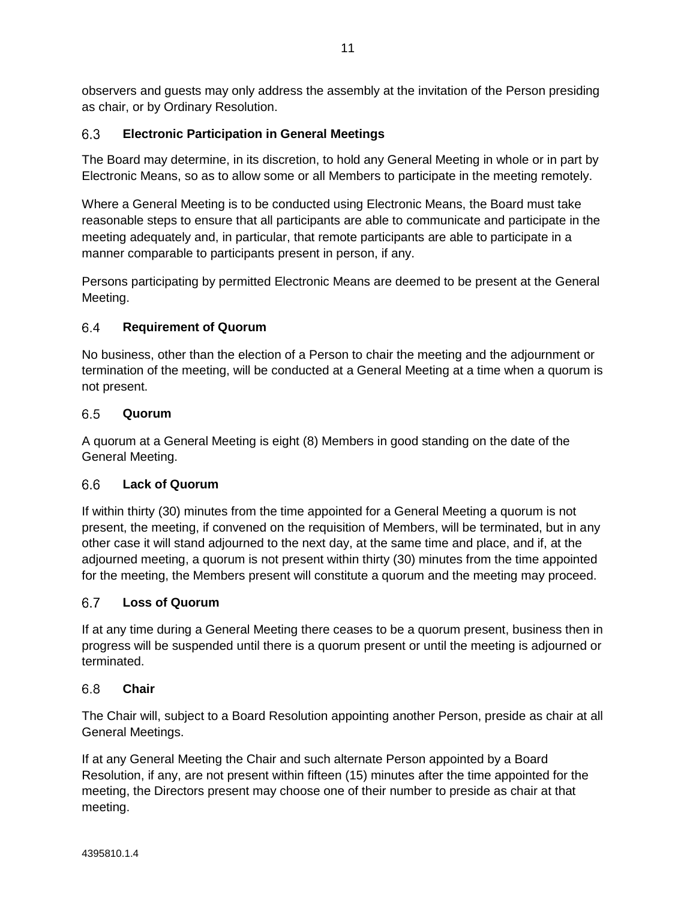observers and guests may only address the assembly at the invitation of the Person presiding as chair, or by Ordinary Resolution.

### $6.3$ **Electronic Participation in General Meetings**

The Board may determine, in its discretion, to hold any General Meeting in whole or in part by Electronic Means, so as to allow some or all Members to participate in the meeting remotely.

Where a General Meeting is to be conducted using Electronic Means, the Board must take reasonable steps to ensure that all participants are able to communicate and participate in the meeting adequately and, in particular, that remote participants are able to participate in a manner comparable to participants present in person, if any.

Persons participating by permitted Electronic Means are deemed to be present at the General Meeting.

### 64 **Requirement of Quorum**

No business, other than the election of a Person to chair the meeting and the adjournment or termination of the meeting, will be conducted at a General Meeting at a time when a quorum is not present.

### $6.5$ **Quorum**

A quorum at a General Meeting is eight (8) Members in good standing on the date of the General Meeting.

### **Lack of Quorum** 66

If within thirty (30) minutes from the time appointed for a General Meeting a quorum is not present, the meeting, if convened on the requisition of Members, will be terminated, but in any other case it will stand adjourned to the next day, at the same time and place, and if, at the adjourned meeting, a quorum is not present within thirty (30) minutes from the time appointed for the meeting, the Members present will constitute a quorum and the meeting may proceed.

### $6.7$ **Loss of Quorum**

If at any time during a General Meeting there ceases to be a quorum present, business then in progress will be suspended until there is a quorum present or until the meeting is adjourned or terminated.

#### $6.8$ **Chair**

The Chair will, subject to a Board Resolution appointing another Person, preside as chair at all General Meetings.

If at any General Meeting the Chair and such alternate Person appointed by a Board Resolution, if any, are not present within fifteen (15) minutes after the time appointed for the meeting, the Directors present may choose one of their number to preside as chair at that meeting.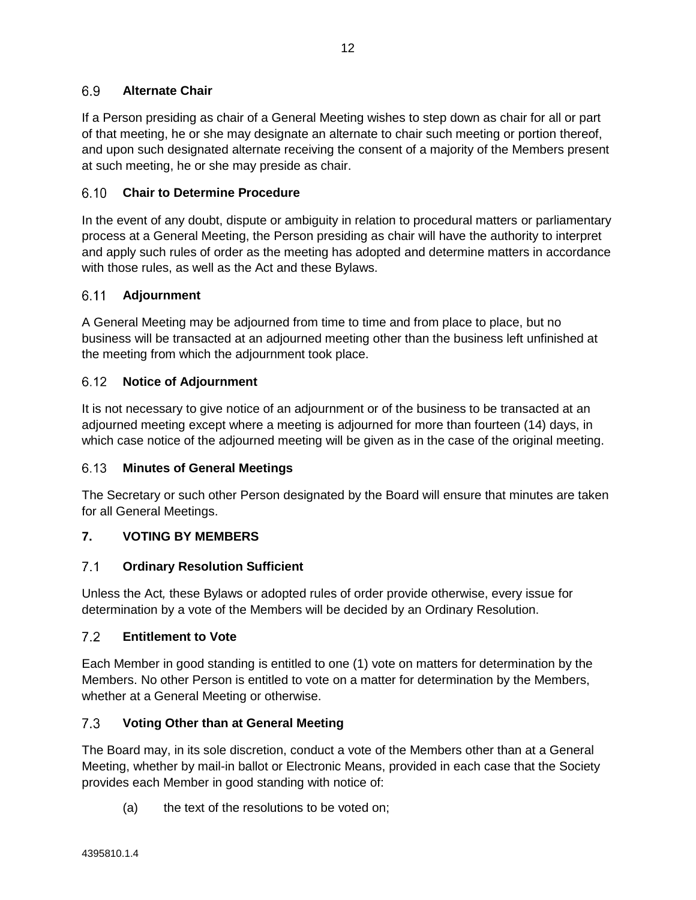### 6.9 **Alternate Chair**

If a Person presiding as chair of a General Meeting wishes to step down as chair for all or part of that meeting, he or she may designate an alternate to chair such meeting or portion thereof, and upon such designated alternate receiving the consent of a majority of the Members present at such meeting, he or she may preside as chair.

### 6.10 **Chair to Determine Procedure**

In the event of any doubt, dispute or ambiguity in relation to procedural matters or parliamentary process at a General Meeting, the Person presiding as chair will have the authority to interpret and apply such rules of order as the meeting has adopted and determine matters in accordance with those rules, as well as the Act and these Bylaws.

### $6.11$ **Adjournment**

A General Meeting may be adjourned from time to time and from place to place, but no business will be transacted at an adjourned meeting other than the business left unfinished at the meeting from which the adjournment took place.

### $6.12$ **Notice of Adjournment**

It is not necessary to give notice of an adjournment or of the business to be transacted at an adjourned meeting except where a meeting is adjourned for more than fourteen (14) days, in which case notice of the adjourned meeting will be given as in the case of the original meeting.

# **Minutes of General Meetings**

The Secretary or such other Person designated by the Board will ensure that minutes are taken for all General Meetings.

# **7. VOTING BY MEMBERS**

### $7.1$ **Ordinary Resolution Sufficient**

Unless the Act*,* these Bylaws or adopted rules of order provide otherwise, every issue for determination by a vote of the Members will be decided by an Ordinary Resolution.

### $7.2$ **Entitlement to Vote**

Each Member in good standing is entitled to one (1) vote on matters for determination by the Members. No other Person is entitled to vote on a matter for determination by the Members, whether at a General Meeting or otherwise.

### $7.3$ **Voting Other than at General Meeting**

The Board may, in its sole discretion, conduct a vote of the Members other than at a General Meeting, whether by mail-in ballot or Electronic Means, provided in each case that the Society provides each Member in good standing with notice of:

(a) the text of the resolutions to be voted on;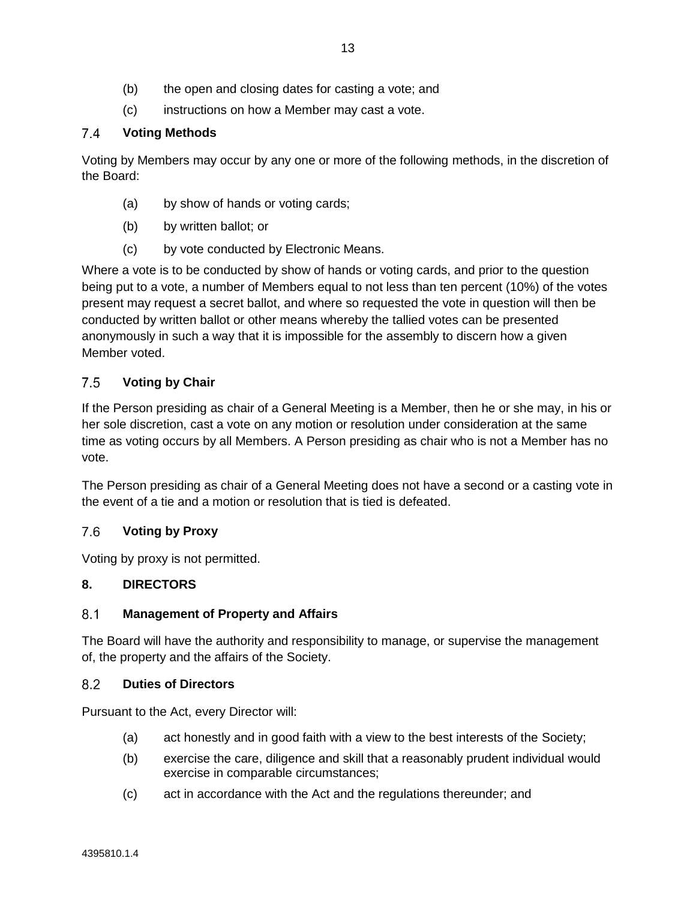- (b) the open and closing dates for casting a vote; and
- (c) instructions on how a Member may cast a vote.

### $7.4$ **Voting Methods**

Voting by Members may occur by any one or more of the following methods, in the discretion of the Board:

- (a) by show of hands or voting cards;
- (b) by written ballot; or
- (c) by vote conducted by Electronic Means.

Where a vote is to be conducted by show of hands or voting cards, and prior to the question being put to a vote, a number of Members equal to not less than ten percent (10%) of the votes present may request a secret ballot, and where so requested the vote in question will then be conducted by written ballot or other means whereby the tallied votes can be presented anonymously in such a way that it is impossible for the assembly to discern how a given Member voted.

### $7.5$ **Voting by Chair**

If the Person presiding as chair of a General Meeting is a Member, then he or she may, in his or her sole discretion, cast a vote on any motion or resolution under consideration at the same time as voting occurs by all Members. A Person presiding as chair who is not a Member has no vote.

The Person presiding as chair of a General Meeting does not have a second or a casting vote in the event of a tie and a motion or resolution that is tied is defeated.

### $7.6$ **Voting by Proxy**

Voting by proxy is not permitted.

# **8. DIRECTORS**

### $8.1$ **Management of Property and Affairs**

The Board will have the authority and responsibility to manage, or supervise the management of, the property and the affairs of the Society.

#### <span id="page-16-0"></span> $8.2$ **Duties of Directors**

Pursuant to the Act, every Director will:

- (a) act honestly and in good faith with a view to the best interests of the Society;
- (b) exercise the care, diligence and skill that a reasonably prudent individual would exercise in comparable circumstances;
- (c) act in accordance with the Act and the regulations thereunder; and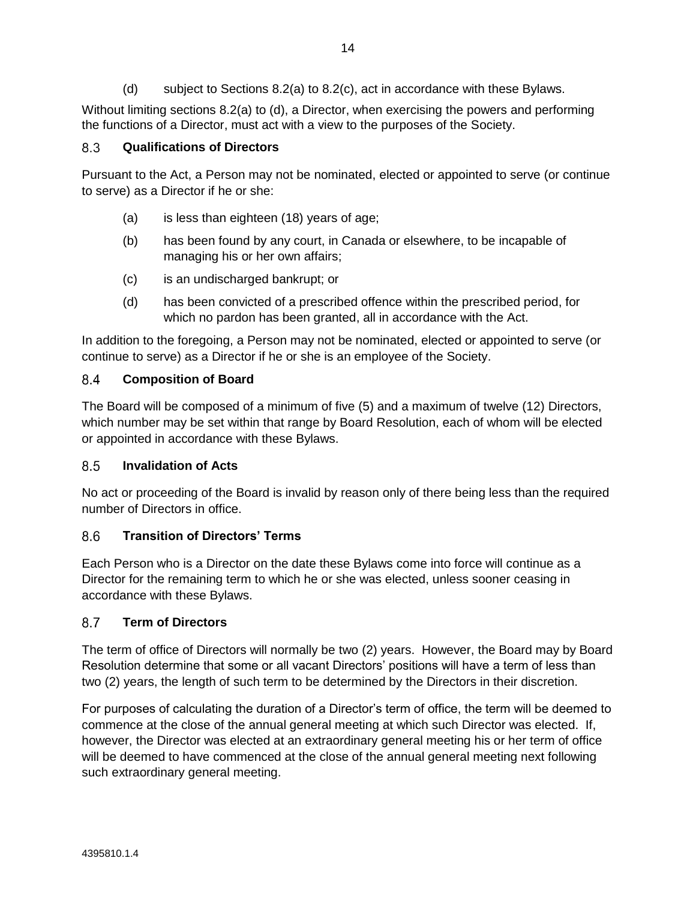(d) subject to Sections [8.2\(a\)](#page-16-0) to [8.2\(c\),](#page-16-0) act in accordance with these Bylaws.

<span id="page-17-0"></span>Without limiting sections [8.2\(a\)](#page-16-0) to [\(d\),](#page-17-0) a Director, when exercising the powers and performing the functions of a Director, must act with a view to the purposes of the Society.

### <span id="page-17-1"></span> $8.3$ **Qualifications of Directors**

Pursuant to the Act, a Person may not be nominated, elected or appointed to serve (or continue to serve) as a Director if he or she:

- (a) is less than eighteen (18) years of age;
- (b) has been found by any court, in Canada or elsewhere, to be incapable of managing his or her own affairs;
- (c) is an undischarged bankrupt; or
- (d) has been convicted of a prescribed offence within the prescribed period, for which no pardon has been granted, all in accordance with the Act.

In addition to the foregoing, a Person may not be nominated, elected or appointed to serve (or continue to serve) as a Director if he or she is an employee of the Society.

### 8.4 **Composition of Board**

The Board will be composed of a minimum of five (5) and a maximum of twelve (12) Directors, which number may be set within that range by Board Resolution, each of whom will be elected or appointed in accordance with these Bylaws.

### $8.5$ **Invalidation of Acts**

No act or proceeding of the Board is invalid by reason only of there being less than the required number of Directors in office.

### $8.6$ **Transition of Directors' Terms**

Each Person who is a Director on the date these Bylaws come into force will continue as a Director for the remaining term to which he or she was elected, unless sooner ceasing in accordance with these Bylaws.

### 87 **Term of Directors**

The term of office of Directors will normally be two (2) years. However, the Board may by Board Resolution determine that some or all vacant Directors' positions will have a term of less than two (2) years, the length of such term to be determined by the Directors in their discretion.

For purposes of calculating the duration of a Director's term of office, the term will be deemed to commence at the close of the annual general meeting at which such Director was elected. If, however, the Director was elected at an extraordinary general meeting his or her term of office will be deemed to have commenced at the close of the annual general meeting next following such extraordinary general meeting.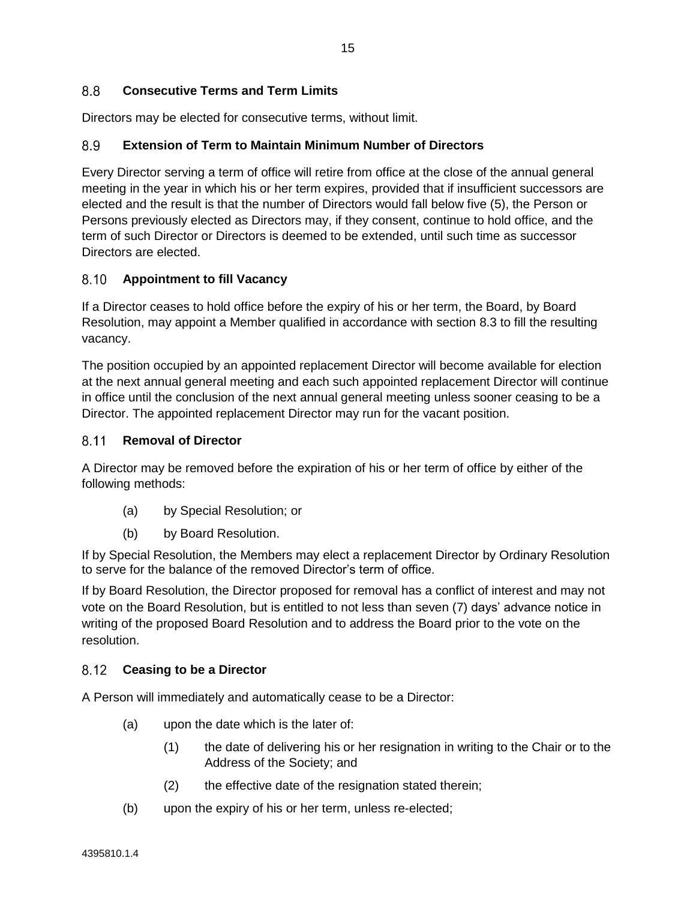### 8.8 **Consecutive Terms and Term Limits**

Directors may be elected for consecutive terms, without limit.

### 8.9 **Extension of Term to Maintain Minimum Number of Directors**

Every Director serving a term of office will retire from office at the close of the annual general meeting in the year in which his or her term expires, provided that if insufficient successors are elected and the result is that the number of Directors would fall below five (5), the Person or Persons previously elected as Directors may, if they consent, continue to hold office, and the term of such Director or Directors is deemed to be extended, until such time as successor Directors are elected.

### **Appointment to fill Vacancy**

If a Director ceases to hold office before the expiry of his or her term, the Board, by Board Resolution, may appoint a Member qualified in accordance with section [8.3](#page-17-1) to fill the resulting vacancy.

The position occupied by an appointed replacement Director will become available for election at the next annual general meeting and each such appointed replacement Director will continue in office until the conclusion of the next annual general meeting unless sooner ceasing to be a Director. The appointed replacement Director may run for the vacant position.

### 8 1 1 **Removal of Director**

A Director may be removed before the expiration of his or her term of office by either of the following methods:

- (a) by Special Resolution; or
- (b) by Board Resolution.

If by Special Resolution, the Members may elect a replacement Director by Ordinary Resolution to serve for the balance of the removed Director's term of office.

If by Board Resolution, the Director proposed for removal has a conflict of interest and may not vote on the Board Resolution, but is entitled to not less than seven (7) days' advance notice in writing of the proposed Board Resolution and to address the Board prior to the vote on the resolution.

#### $8.12$ **Ceasing to be a Director**

A Person will immediately and automatically cease to be a Director:

- (a) upon the date which is the later of:
	- (1) the date of delivering his or her resignation in writing to the Chair or to the Address of the Society; and
	- (2) the effective date of the resignation stated therein;
- (b) upon the expiry of his or her term, unless re-elected;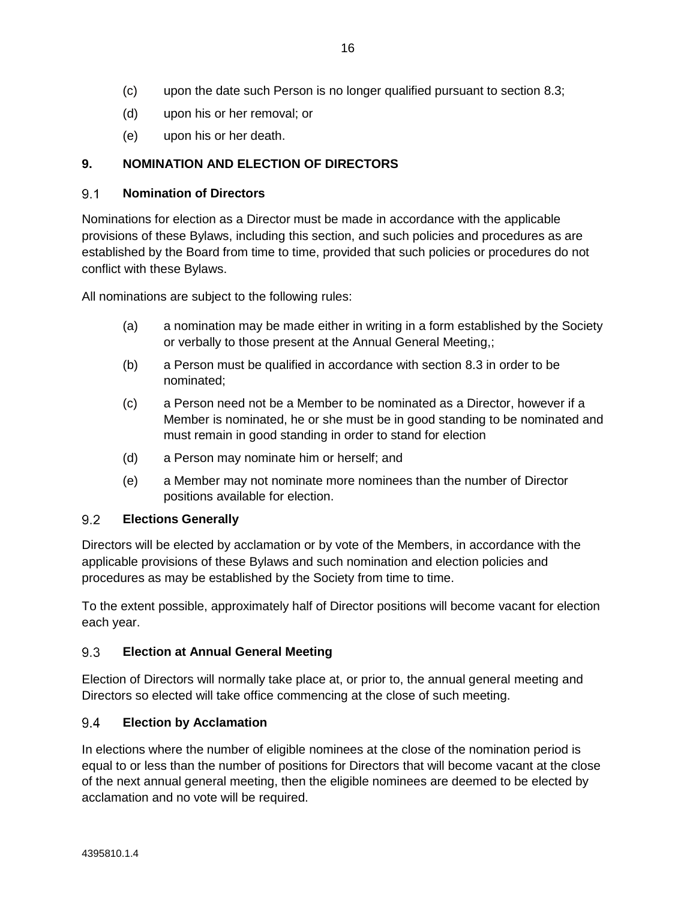- (d) upon his or her removal; or
- (e) upon his or her death.

# **9. NOMINATION AND ELECTION OF DIRECTORS**

### $9.1$ **Nomination of Directors**

Nominations for election as a Director must be made in accordance with the applicable provisions of these Bylaws, including this section, and such policies and procedures as are established by the Board from time to time, provided that such policies or procedures do not conflict with these Bylaws.

All nominations are subject to the following rules:

- (a) a nomination may be made either in writing in a form established by the Society or verbally to those present at the Annual General Meeting,;
- (b) a Person must be qualified in accordance with section [8.3](#page-17-1) in order to be nominated;
- (c) a Person need not be a Member to be nominated as a Director, however if a Member is nominated, he or she must be in good standing to be nominated and must remain in good standing in order to stand for election
- (d) a Person may nominate him or herself; and
- (e) a Member may not nominate more nominees than the number of Director positions available for election.

### 9.2 **Elections Generally**

Directors will be elected by acclamation or by vote of the Members, in accordance with the applicable provisions of these Bylaws and such nomination and election policies and procedures as may be established by the Society from time to time.

To the extent possible, approximately half of Director positions will become vacant for election each year.

### $9.3$ **Election at Annual General Meeting**

Election of Directors will normally take place at, or prior to, the annual general meeting and Directors so elected will take office commencing at the close of such meeting.

### $9.4$ **Election by Acclamation**

In elections where the number of eligible nominees at the close of the nomination period is equal to or less than the number of positions for Directors that will become vacant at the close of the next annual general meeting, then the eligible nominees are deemed to be elected by acclamation and no vote will be required.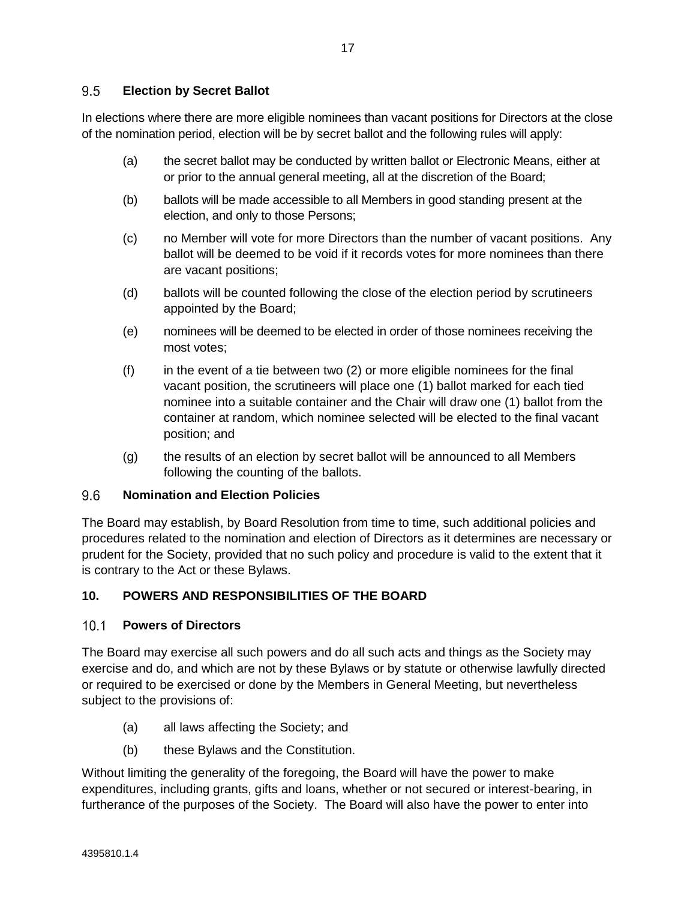### $9.5$ **Election by Secret Ballot**

In elections where there are more eligible nominees than vacant positions for Directors at the close of the nomination period, election will be by secret ballot and the following rules will apply:

- (a) the secret ballot may be conducted by written ballot or Electronic Means, either at or prior to the annual general meeting, all at the discretion of the Board;
- (b) ballots will be made accessible to all Members in good standing present at the election, and only to those Persons;
- (c) no Member will vote for more Directors than the number of vacant positions. Any ballot will be deemed to be void if it records votes for more nominees than there are vacant positions;
- (d) ballots will be counted following the close of the election period by scrutineers appointed by the Board;
- (e) nominees will be deemed to be elected in order of those nominees receiving the most votes;
- $(f)$  in the event of a tie between two  $(2)$  or more eligible nominees for the final vacant position, the scrutineers will place one (1) ballot marked for each tied nominee into a suitable container and the Chair will draw one (1) ballot from the container at random, which nominee selected will be elected to the final vacant position; and
- (g) the results of an election by secret ballot will be announced to all Members following the counting of the ballots.

### 9.6 **Nomination and Election Policies**

The Board may establish, by Board Resolution from time to time, such additional policies and procedures related to the nomination and election of Directors as it determines are necessary or prudent for the Society, provided that no such policy and procedure is valid to the extent that it is contrary to the Act or these Bylaws.

# **10. POWERS AND RESPONSIBILITIES OF THE BOARD**

### $10.1$ **Powers of Directors**

The Board may exercise all such powers and do all such acts and things as the Society may exercise and do, and which are not by these Bylaws or by statute or otherwise lawfully directed or required to be exercised or done by the Members in General Meeting, but nevertheless subject to the provisions of:

- (a) all laws affecting the Society; and
- (b) these Bylaws and the Constitution.

Without limiting the generality of the foregoing, the Board will have the power to make expenditures, including grants, gifts and loans, whether or not secured or interest-bearing, in furtherance of the purposes of the Society. The Board will also have the power to enter into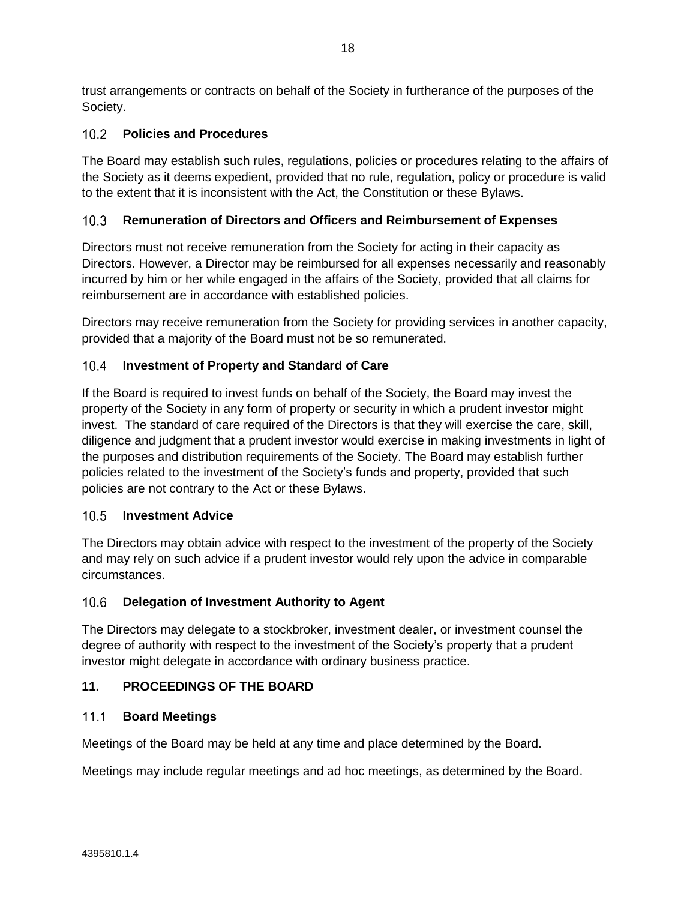trust arrangements or contracts on behalf of the Society in furtherance of the purposes of the Society.

# **Policies and Procedures**

The Board may establish such rules, regulations, policies or procedures relating to the affairs of the Society as it deems expedient, provided that no rule, regulation, policy or procedure is valid to the extent that it is inconsistent with the Act, the Constitution or these Bylaws.

### **Remuneration of Directors and Officers and Reimbursement of Expenses**  $10.3$

Directors must not receive remuneration from the Society for acting in their capacity as Directors. However, a Director may be reimbursed for all expenses necessarily and reasonably incurred by him or her while engaged in the affairs of the Society, provided that all claims for reimbursement are in accordance with established policies.

Directors may receive remuneration from the Society for providing services in another capacity, provided that a majority of the Board must not be so remunerated.

### $10<sub>4</sub>$ **Investment of Property and Standard of Care**

If the Board is required to invest funds on behalf of the Society, the Board may invest the property of the Society in any form of property or security in which a prudent investor might invest. The standard of care required of the Directors is that they will exercise the care, skill, diligence and judgment that a prudent investor would exercise in making investments in light of the purposes and distribution requirements of the Society. The Board may establish further policies related to the investment of the Society's funds and property, provided that such policies are not contrary to the Act or these Bylaws.

# **Investment Advice**

The Directors may obtain advice with respect to the investment of the property of the Society and may rely on such advice if a prudent investor would rely upon the advice in comparable circumstances.

### $10.6$ **Delegation of Investment Authority to Agent**

The Directors may delegate to a stockbroker, investment dealer, or investment counsel the degree of authority with respect to the investment of the Society's property that a prudent investor might delegate in accordance with ordinary business practice.

# **11. PROCEEDINGS OF THE BOARD**

#### $11.1$ **Board Meetings**

Meetings of the Board may be held at any time and place determined by the Board.

Meetings may include regular meetings and ad hoc meetings, as determined by the Board.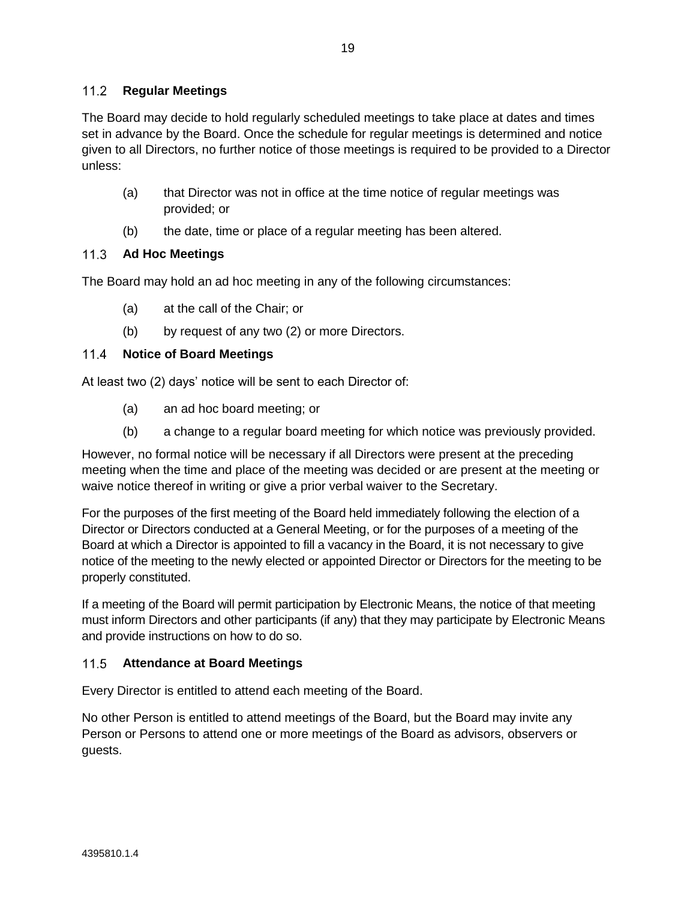# **Regular Meetings**

The Board may decide to hold regularly scheduled meetings to take place at dates and times set in advance by the Board. Once the schedule for regular meetings is determined and notice given to all Directors, no further notice of those meetings is required to be provided to a Director unless:

- (a) that Director was not in office at the time notice of regular meetings was provided; or
- (b) the date, time or place of a regular meeting has been altered.

### $11.3$ **Ad Hoc Meetings**

The Board may hold an ad hoc meeting in any of the following circumstances:

- (a) at the call of the Chair; or
- (b) by request of any two (2) or more Directors.

### $11.4$ **Notice of Board Meetings**

At least two (2) days' notice will be sent to each Director of:

- (a) an ad hoc board meeting; or
- (b) a change to a regular board meeting for which notice was previously provided.

However, no formal notice will be necessary if all Directors were present at the preceding meeting when the time and place of the meeting was decided or are present at the meeting or waive notice thereof in writing or give a prior verbal waiver to the Secretary.

For the purposes of the first meeting of the Board held immediately following the election of a Director or Directors conducted at a General Meeting, or for the purposes of a meeting of the Board at which a Director is appointed to fill a vacancy in the Board, it is not necessary to give notice of the meeting to the newly elected or appointed Director or Directors for the meeting to be properly constituted.

If a meeting of the Board will permit participation by Electronic Means, the notice of that meeting must inform Directors and other participants (if any) that they may participate by Electronic Means and provide instructions on how to do so.

# **Attendance at Board Meetings**

Every Director is entitled to attend each meeting of the Board.

No other Person is entitled to attend meetings of the Board, but the Board may invite any Person or Persons to attend one or more meetings of the Board as advisors, observers or guests.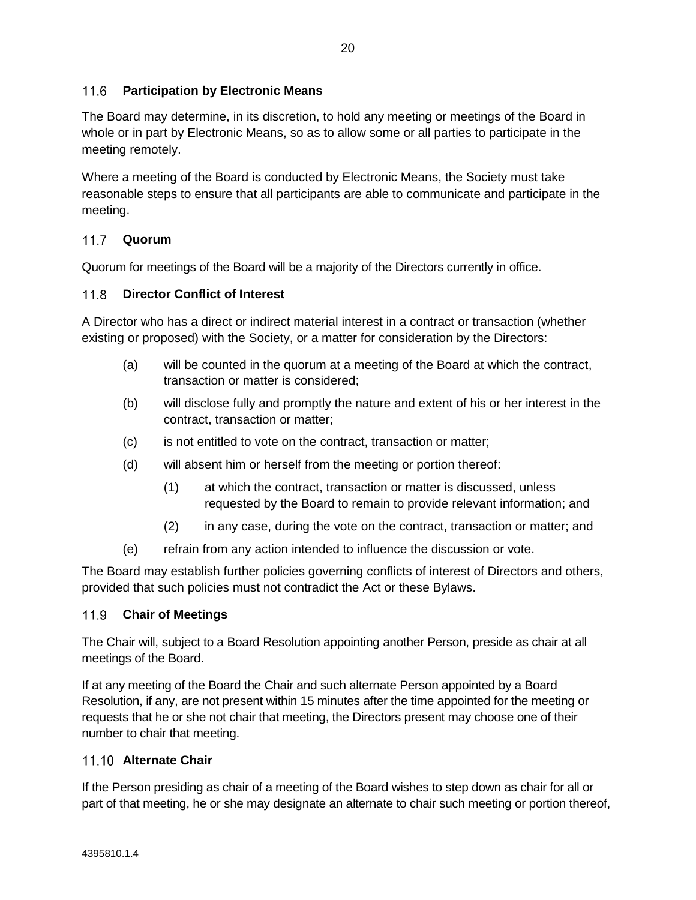### $11.6$ **Participation by Electronic Means**

The Board may determine, in its discretion, to hold any meeting or meetings of the Board in whole or in part by Electronic Means, so as to allow some or all parties to participate in the meeting remotely.

Where a meeting of the Board is conducted by Electronic Means, the Society must take reasonable steps to ensure that all participants are able to communicate and participate in the meeting.

# **Quorum**

Quorum for meetings of the Board will be a majority of the Directors currently in office.

### <span id="page-23-0"></span> $11.8$ **Director Conflict of Interest**

A Director who has a direct or indirect material interest in a contract or transaction (whether existing or proposed) with the Society, or a matter for consideration by the Directors:

- (a) will be counted in the quorum at a meeting of the Board at which the contract, transaction or matter is considered;
- (b) will disclose fully and promptly the nature and extent of his or her interest in the contract, transaction or matter;
- (c) is not entitled to vote on the contract, transaction or matter;
- (d) will absent him or herself from the meeting or portion thereof:
	- (1) at which the contract, transaction or matter is discussed, unless requested by the Board to remain to provide relevant information; and
	- (2) in any case, during the vote on the contract, transaction or matter; and
- (e) refrain from any action intended to influence the discussion or vote.

The Board may establish further policies governing conflicts of interest of Directors and others, provided that such policies must not contradict the Act or these Bylaws.

# **Chair of Meetings**

The Chair will, subject to a Board Resolution appointing another Person, preside as chair at all meetings of the Board.

If at any meeting of the Board the Chair and such alternate Person appointed by a Board Resolution, if any, are not present within 15 minutes after the time appointed for the meeting or requests that he or she not chair that meeting, the Directors present may choose one of their number to chair that meeting.

# **Alternate Chair**

If the Person presiding as chair of a meeting of the Board wishes to step down as chair for all or part of that meeting, he or she may designate an alternate to chair such meeting or portion thereof,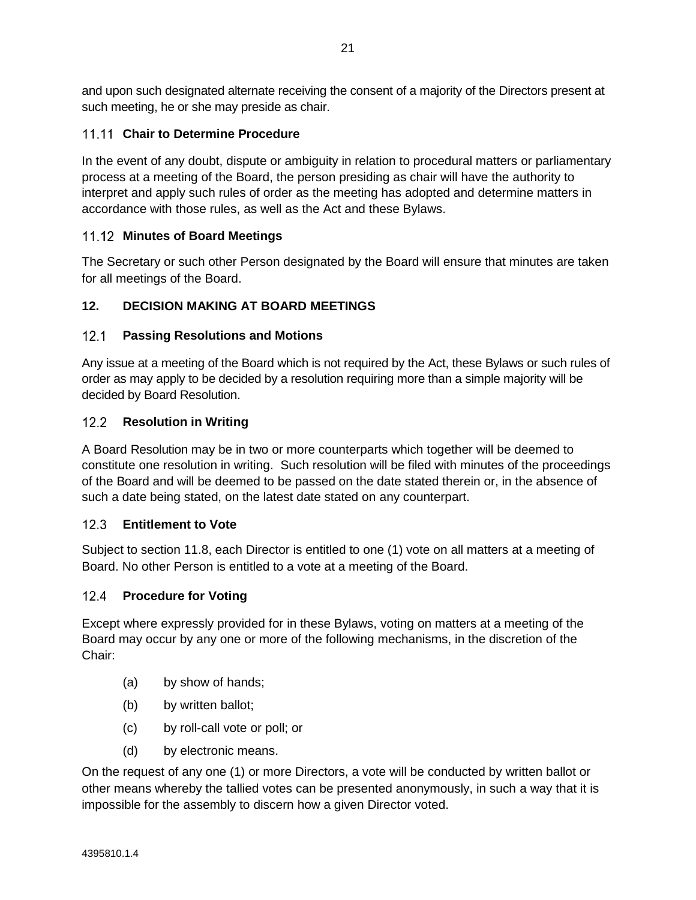and upon such designated alternate receiving the consent of a majority of the Directors present at such meeting, he or she may preside as chair.

# **11.11 Chair to Determine Procedure**

In the event of any doubt, dispute or ambiguity in relation to procedural matters or parliamentary process at a meeting of the Board, the person presiding as chair will have the authority to interpret and apply such rules of order as the meeting has adopted and determine matters in accordance with those rules, as well as the Act and these Bylaws.

# **Minutes of Board Meetings**

The Secretary or such other Person designated by the Board will ensure that minutes are taken for all meetings of the Board.

# **12. DECISION MAKING AT BOARD MEETINGS**

### $12.1$ **Passing Resolutions and Motions**

Any issue at a meeting of the Board which is not required by the Act, these Bylaws or such rules of order as may apply to be decided by a resolution requiring more than a simple majority will be decided by Board Resolution.

# 12.2 **Resolution in Writing**

A Board Resolution may be in two or more counterparts which together will be deemed to constitute one resolution in writing. Such resolution will be filed with minutes of the proceedings of the Board and will be deemed to be passed on the date stated therein or, in the absence of such a date being stated, on the latest date stated on any counterpart.

### $12.3$ **Entitlement to Vote**

Subject to section [11.8,](#page-23-0) each Director is entitled to one (1) vote on all matters at a meeting of Board. No other Person is entitled to a vote at a meeting of the Board.

# 12.4 Procedure for Voting

Except where expressly provided for in these Bylaws, voting on matters at a meeting of the Board may occur by any one or more of the following mechanisms, in the discretion of the Chair:

- (a) by show of hands;
- (b) by written ballot;
- (c) by roll-call vote or poll; or
- (d) by electronic means.

On the request of any one (1) or more Directors, a vote will be conducted by written ballot or other means whereby the tallied votes can be presented anonymously, in such a way that it is impossible for the assembly to discern how a given Director voted.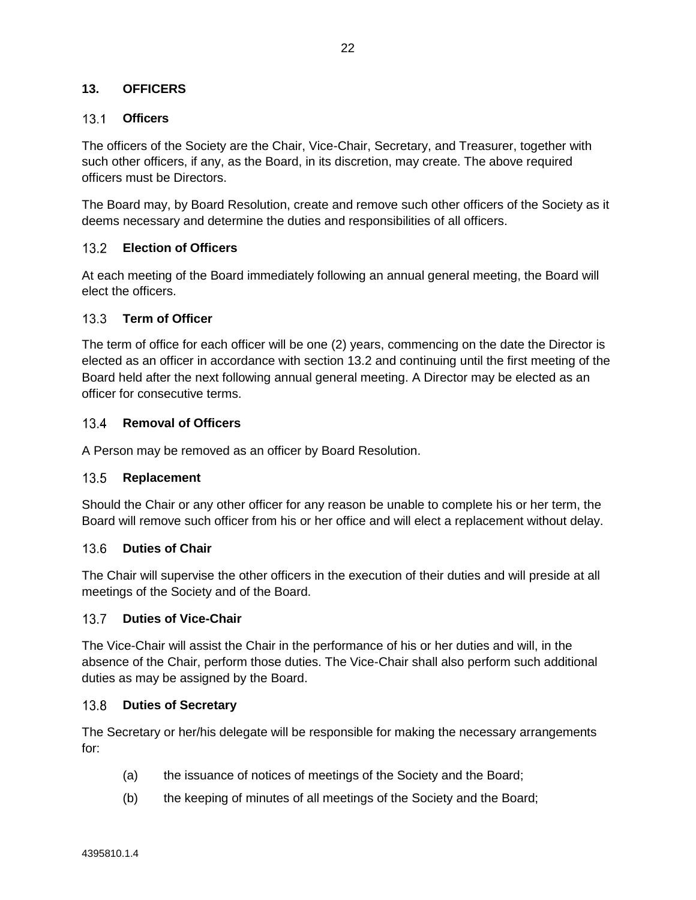# **13. OFFICERS**

### **Officers**

The officers of the Society are the Chair, Vice-Chair, Secretary, and Treasurer, together with such other officers, if any, as the Board, in its discretion, may create. The above required officers must be Directors.

The Board may, by Board Resolution, create and remove such other officers of the Society as it deems necessary and determine the duties and responsibilities of all officers.

### <span id="page-25-0"></span> $13.2<sup>°</sup>$ **Election of Officers**

At each meeting of the Board immediately following an annual general meeting, the Board will elect the officers.

### $13.3 -$ **Term of Officer**

The term of office for each officer will be one (2) years, commencing on the date the Director is elected as an officer in accordance with section [13.2](#page-25-0) and continuing until the first meeting of the Board held after the next following annual general meeting. A Director may be elected as an officer for consecutive terms.

### 13.4 Removal of Officers

A Person may be removed as an officer by Board Resolution.

#### $13.5$ **Replacement**

Should the Chair or any other officer for any reason be unable to complete his or her term, the Board will remove such officer from his or her office and will elect a replacement without delay.

#### **Duties of Chair**  $13.6$

The Chair will supervise the other officers in the execution of their duties and will preside at all meetings of the Society and of the Board.

### 13.7 **Duties of Vice-Chair**

The Vice-Chair will assist the Chair in the performance of his or her duties and will, in the absence of the Chair, perform those duties. The Vice-Chair shall also perform such additional duties as may be assigned by the Board.

#### $13.8$ **Duties of Secretary**

The Secretary or her/his delegate will be responsible for making the necessary arrangements for:

- (a) the issuance of notices of meetings of the Society and the Board;
- (b) the keeping of minutes of all meetings of the Society and the Board;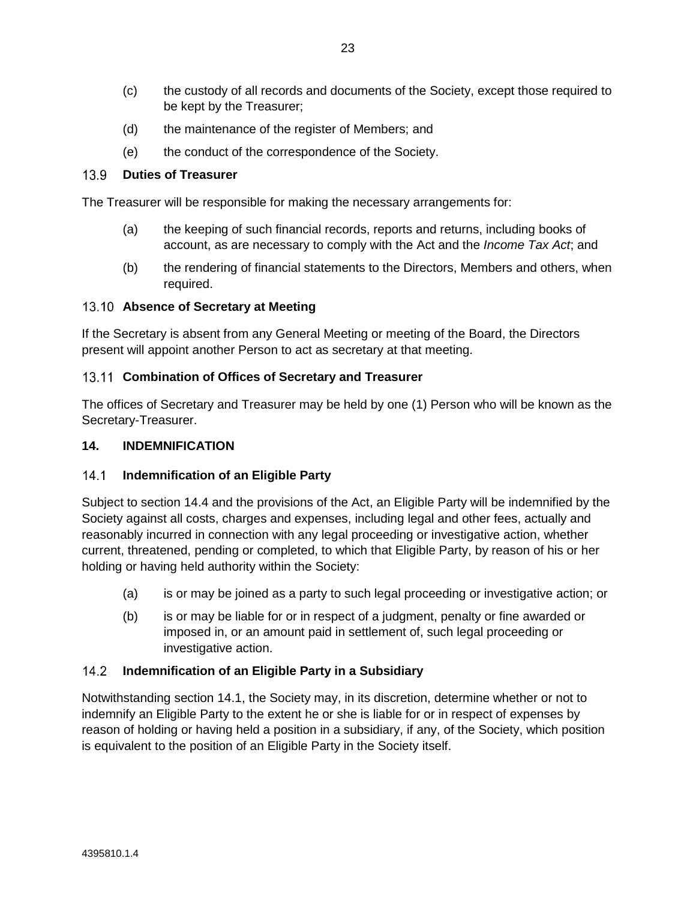- (c) the custody of all records and documents of the Society, except those required to be kept by the Treasurer;
- (d) the maintenance of the register of Members; and
- (e) the conduct of the correspondence of the Society.

#### 13.9 **Duties of Treasurer**

The Treasurer will be responsible for making the necessary arrangements for:

- (a) the keeping of such financial records, reports and returns, including books of account, as are necessary to comply with the Act and the *Income Tax Act*; and
- (b) the rendering of financial statements to the Directors, Members and others, when required.

### **Absence of Secretary at Meeting**

If the Secretary is absent from any General Meeting or meeting of the Board, the Directors present will appoint another Person to act as secretary at that meeting.

### 13.11 Combination of Offices of Secretary and Treasurer

The offices of Secretary and Treasurer may be held by one (1) Person who will be known as the Secretary-Treasurer.

# **14. INDEMNIFICATION**

### <span id="page-26-0"></span> $14.1$ **Indemnification of an Eligible Party**

Subject to section [14.4](#page-27-0) and the provisions of the Act, an Eligible Party will be indemnified by the Society against all costs, charges and expenses, including legal and other fees, actually and reasonably incurred in connection with any legal proceeding or investigative action, whether current, threatened, pending or completed, to which that Eligible Party, by reason of his or her holding or having held authority within the Society:

- (a) is or may be joined as a party to such legal proceeding or investigative action; or
- (b) is or may be liable for or in respect of a judgment, penalty or fine awarded or imposed in, or an amount paid in settlement of, such legal proceeding or investigative action.

### <span id="page-26-1"></span> $14.2$ **Indemnification of an Eligible Party in a Subsidiary**

Notwithstanding section [14.1,](#page-26-0) the Society may, in its discretion, determine whether or not to indemnify an Eligible Party to the extent he or she is liable for or in respect of expenses by reason of holding or having held a position in a subsidiary, if any, of the Society, which position is equivalent to the position of an Eligible Party in the Society itself.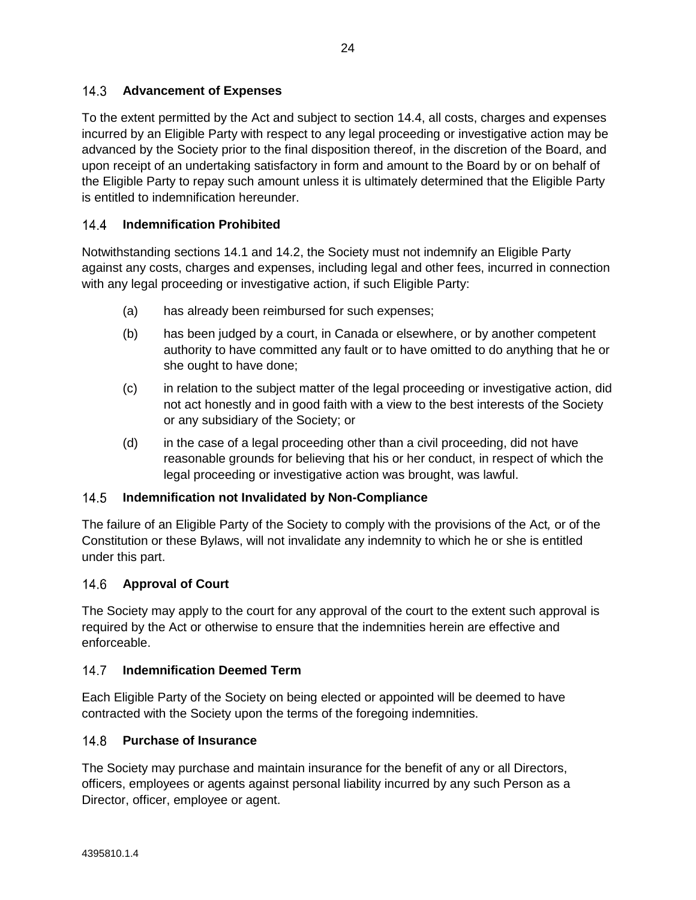To the extent permitted by the Act and subject to section [14.4,](#page-27-0) all costs, charges and expenses incurred by an Eligible Party with respect to any legal proceeding or investigative action may be advanced by the Society prior to the final disposition thereof, in the discretion of the Board, and upon receipt of an undertaking satisfactory in form and amount to the Board by or on behalf of the Eligible Party to repay such amount unless it is ultimately determined that the Eligible Party is entitled to indemnification hereunder.

### <span id="page-27-0"></span> $14.4$ **Indemnification Prohibited**

Notwithstanding sections [14.1](#page-26-0) and [14.2,](#page-26-1) the Society must not indemnify an Eligible Party against any costs, charges and expenses, including legal and other fees, incurred in connection with any legal proceeding or investigative action, if such Eligible Party:

- (a) has already been reimbursed for such expenses;
- (b) has been judged by a court, in Canada or elsewhere, or by another competent authority to have committed any fault or to have omitted to do anything that he or she ought to have done;
- (c) in relation to the subject matter of the legal proceeding or investigative action, did not act honestly and in good faith with a view to the best interests of the Society or any subsidiary of the Society; or
- (d) in the case of a legal proceeding other than a civil proceeding, did not have reasonable grounds for believing that his or her conduct, in respect of which the legal proceeding or investigative action was brought, was lawful.

### $14.5$ **Indemnification not Invalidated by Non-Compliance**

The failure of an Eligible Party of the Society to comply with the provisions of the Act*,* or of the Constitution or these Bylaws, will not invalidate any indemnity to which he or she is entitled under this part.

### $14.6$ **Approval of Court**

The Society may apply to the court for any approval of the court to the extent such approval is required by the Act or otherwise to ensure that the indemnities herein are effective and enforceable.

### $14.7$ **Indemnification Deemed Term**

Each Eligible Party of the Society on being elected or appointed will be deemed to have contracted with the Society upon the terms of the foregoing indemnities.

### $148$ **Purchase of Insurance**

The Society may purchase and maintain insurance for the benefit of any or all Directors, officers, employees or agents against personal liability incurred by any such Person as a Director, officer, employee or agent.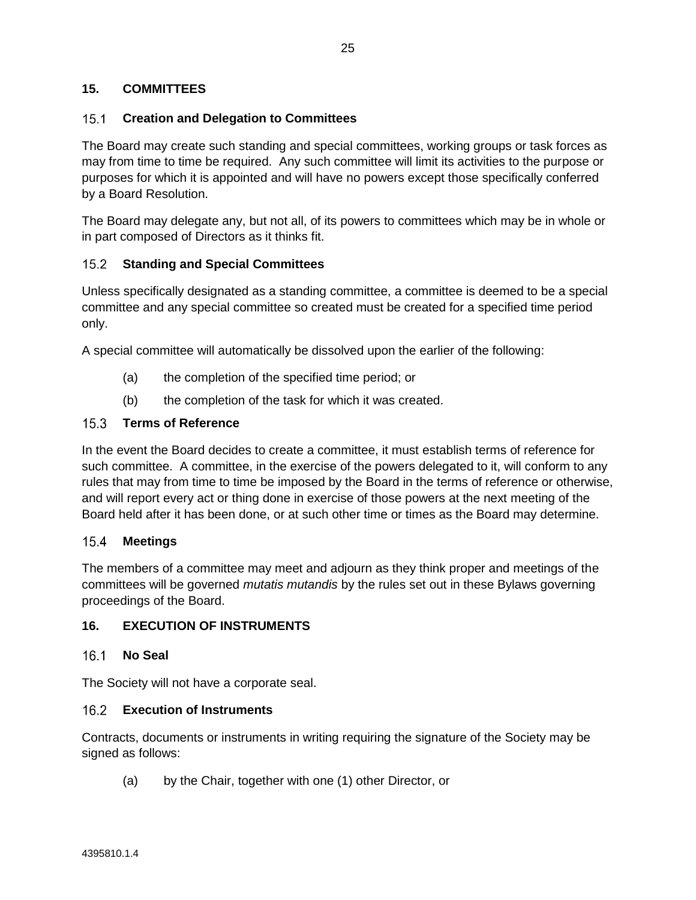## **15. COMMITTEES**

### $15.1$ **Creation and Delegation to Committees**

The Board may create such standing and special committees, working groups or task forces as may from time to time be required. Any such committee will limit its activities to the purpose or purposes for which it is appointed and will have no powers except those specifically conferred by a Board Resolution.

The Board may delegate any, but not all, of its powers to committees which may be in whole or in part composed of Directors as it thinks fit.

### $15.2$ **Standing and Special Committees**

Unless specifically designated as a standing committee, a committee is deemed to be a special committee and any special committee so created must be created for a specified time period only.

A special committee will automatically be dissolved upon the earlier of the following:

- (a) the completion of the specified time period; or
- (b) the completion of the task for which it was created.

### $15.3$ **Terms of Reference**

In the event the Board decides to create a committee, it must establish terms of reference for such committee. A committee, in the exercise of the powers delegated to it, will conform to any rules that may from time to time be imposed by the Board in the terms of reference or otherwise, and will report every act or thing done in exercise of those powers at the next meeting of the Board held after it has been done, or at such other time or times as the Board may determine.

#### $15.4$ **Meetings**

The members of a committee may meet and adjourn as they think proper and meetings of the committees will be governed *mutatis mutandis* by the rules set out in these Bylaws governing proceedings of the Board.

### **16. EXECUTION OF INSTRUMENTS**

### **No Seal**

The Society will not have a corporate seal.

### **Execution of Instruments**

Contracts, documents or instruments in writing requiring the signature of the Society may be signed as follows:

(a) by the Chair, together with one (1) other Director, or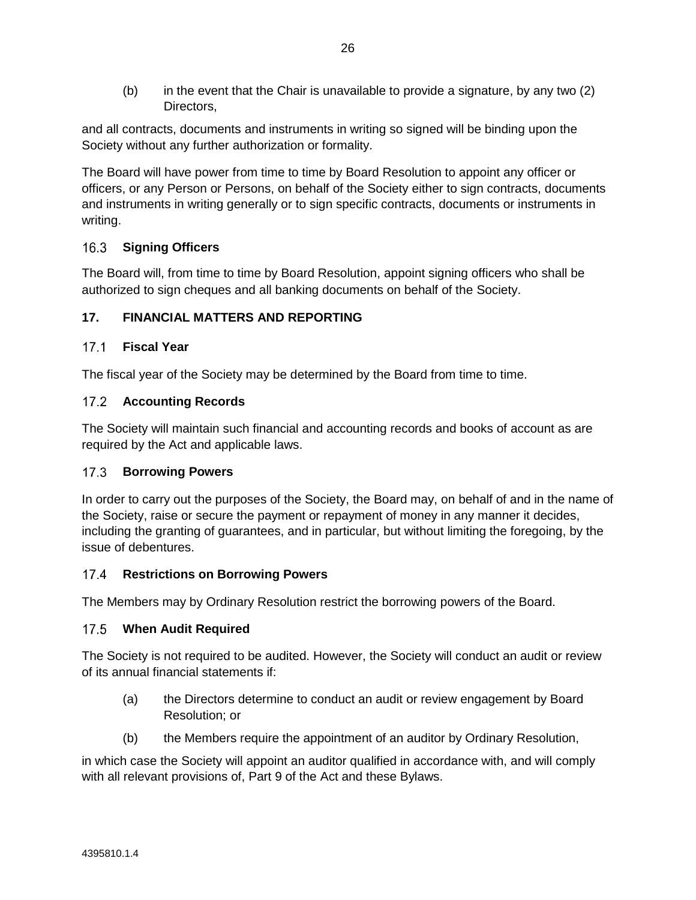(b) in the event that the Chair is unavailable to provide a signature, by any two (2) Directors,

and all contracts, documents and instruments in writing so signed will be binding upon the Society without any further authorization or formality.

The Board will have power from time to time by Board Resolution to appoint any officer or officers, or any Person or Persons, on behalf of the Society either to sign contracts, documents and instruments in writing generally or to sign specific contracts, documents or instruments in writing.

### **Signing Officers**  $16.3$

The Board will, from time to time by Board Resolution, appoint signing officers who shall be authorized to sign cheques and all banking documents on behalf of the Society.

# **17. FINANCIAL MATTERS AND REPORTING**

# **Fiscal Year**

The fiscal year of the Society may be determined by the Board from time to time.

# **Accounting Records**

The Society will maintain such financial and accounting records and books of account as are required by the Act and applicable laws.

# 17.3 **Borrowing Powers**

In order to carry out the purposes of the Society, the Board may, on behalf of and in the name of the Society, raise or secure the payment or repayment of money in any manner it decides, including the granting of guarantees, and in particular, but without limiting the foregoing, by the issue of debentures.

### $17.4$ **Restrictions on Borrowing Powers**

The Members may by Ordinary Resolution restrict the borrowing powers of the Board.

# **When Audit Required**

The Society is not required to be audited. However, the Society will conduct an audit or review of its annual financial statements if:

- (a) the Directors determine to conduct an audit or review engagement by Board Resolution; or
- (b) the Members require the appointment of an auditor by Ordinary Resolution,

in which case the Society will appoint an auditor qualified in accordance with, and will comply with all relevant provisions of, Part 9 of the Act and these Bylaws.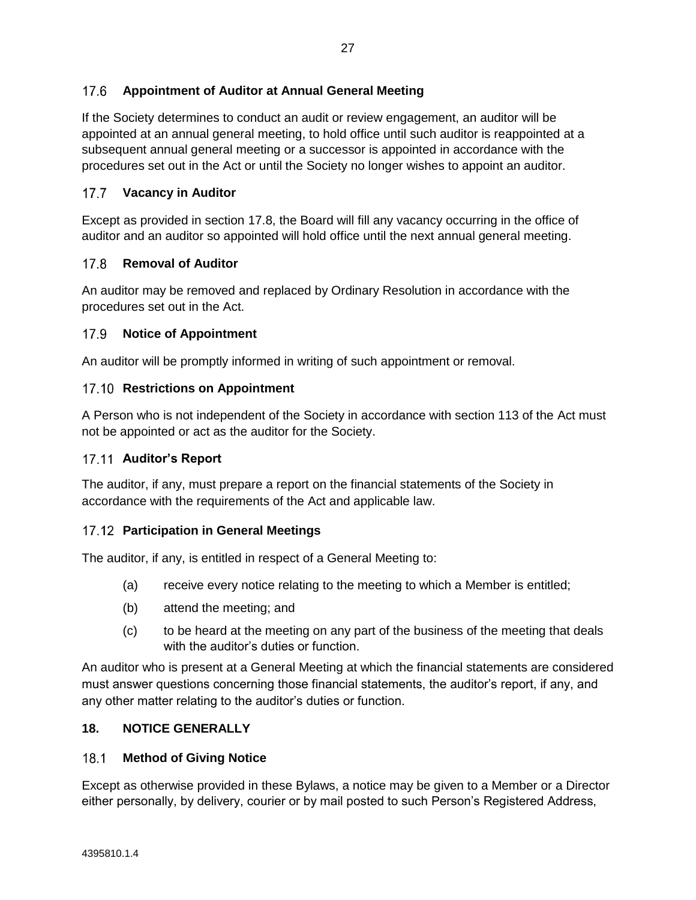### $176$ **Appointment of Auditor at Annual General Meeting**

If the Society determines to conduct an audit or review engagement, an auditor will be appointed at an annual general meeting, to hold office until such auditor is reappointed at a subsequent annual general meeting or a successor is appointed in accordance with the procedures set out in the Act or until the Society no longer wishes to appoint an auditor.

### $17.7$ **Vacancy in Auditor**

Except as provided in section [17.8,](#page-30-1) the Board will fill any vacancy occurring in the office of auditor and an auditor so appointed will hold office until the next annual general meeting.

### <span id="page-30-1"></span> $17.8$ **Removal of Auditor**

An auditor may be removed and replaced by Ordinary Resolution in accordance with the procedures set out in the Act.

### 17.9 **Notice of Appointment**

An auditor will be promptly informed in writing of such appointment or removal.

### **17.10 Restrictions on Appointment**

A Person who is not independent of the Society in accordance with section 113 of the Act must not be appointed or act as the auditor for the Society.

# **Auditor's Report**

The auditor, if any, must prepare a report on the financial statements of the Society in accordance with the requirements of the Act and applicable law.

### **Participation in General Meetings**

The auditor, if any, is entitled in respect of a General Meeting to:

- (a) receive every notice relating to the meeting to which a Member is entitled;
- (b) attend the meeting; and
- (c) to be heard at the meeting on any part of the business of the meeting that deals with the auditor's duties or function.

An auditor who is present at a General Meeting at which the financial statements are considered must answer questions concerning those financial statements, the auditor's report, if any, and any other matter relating to the auditor's duties or function.

# **18. NOTICE GENERALLY**

#### <span id="page-30-0"></span> $18.1$ **Method of Giving Notice**

Except as otherwise provided in these Bylaws, a notice may be given to a Member or a Director either personally, by delivery, courier or by mail posted to such Person's Registered Address,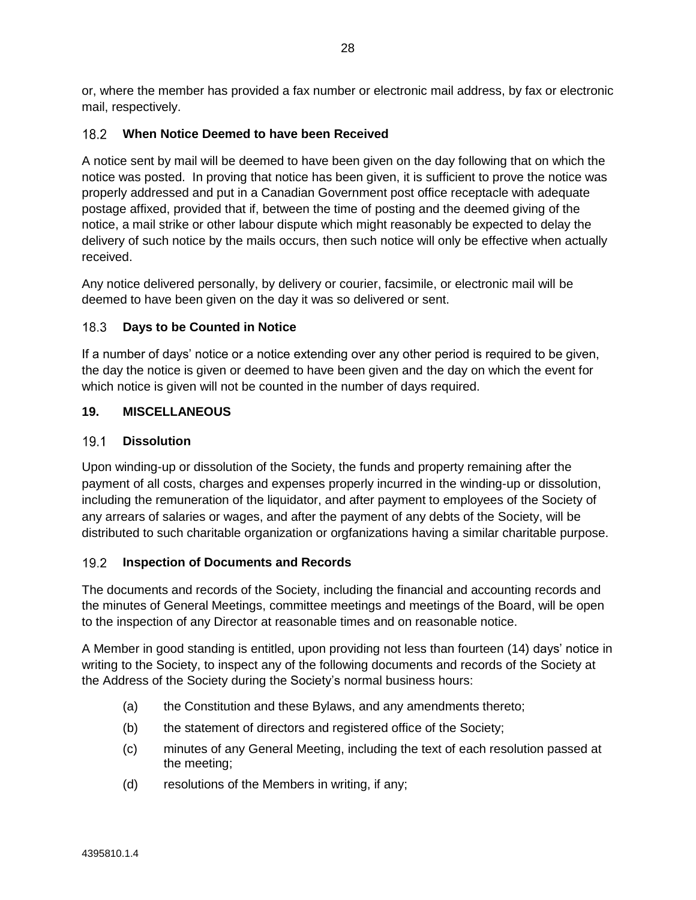or, where the member has provided a fax number or electronic mail address, by fax or electronic mail, respectively.

### **When Notice Deemed to have been Received**  $182$

A notice sent by mail will be deemed to have been given on the day following that on which the notice was posted. In proving that notice has been given, it is sufficient to prove the notice was properly addressed and put in a Canadian Government post office receptacle with adequate postage affixed, provided that if, between the time of posting and the deemed giving of the notice, a mail strike or other labour dispute which might reasonably be expected to delay the delivery of such notice by the mails occurs, then such notice will only be effective when actually received.

Any notice delivered personally, by delivery or courier, facsimile, or electronic mail will be deemed to have been given on the day it was so delivered or sent.

### $18.3$ **Days to be Counted in Notice**

If a number of days' notice or a notice extending over any other period is required to be given, the day the notice is given or deemed to have been given and the day on which the event for which notice is given will not be counted in the number of days required.

# **19. MISCELLANEOUS**

### $19.1$ **Dissolution**

Upon winding-up or dissolution of the Society, the funds and property remaining after the payment of all costs, charges and expenses properly incurred in the winding-up or dissolution, including the remuneration of the liquidator, and after payment to employees of the Society of any arrears of salaries or wages, and after the payment of any debts of the Society, will be distributed to such charitable organization or orgfanizations having a similar charitable purpose.

### $19.2$ **Inspection of Documents and Records**

The documents and records of the Society, including the financial and accounting records and the minutes of General Meetings, committee meetings and meetings of the Board, will be open to the inspection of any Director at reasonable times and on reasonable notice.

A Member in good standing is entitled, upon providing not less than fourteen (14) days' notice in writing to the Society, to inspect any of the following documents and records of the Society at the Address of the Society during the Society's normal business hours:

- (a) the Constitution and these Bylaws, and any amendments thereto;
- (b) the statement of directors and registered office of the Society;
- (c) minutes of any General Meeting, including the text of each resolution passed at the meeting;
- (d) resolutions of the Members in writing, if any;